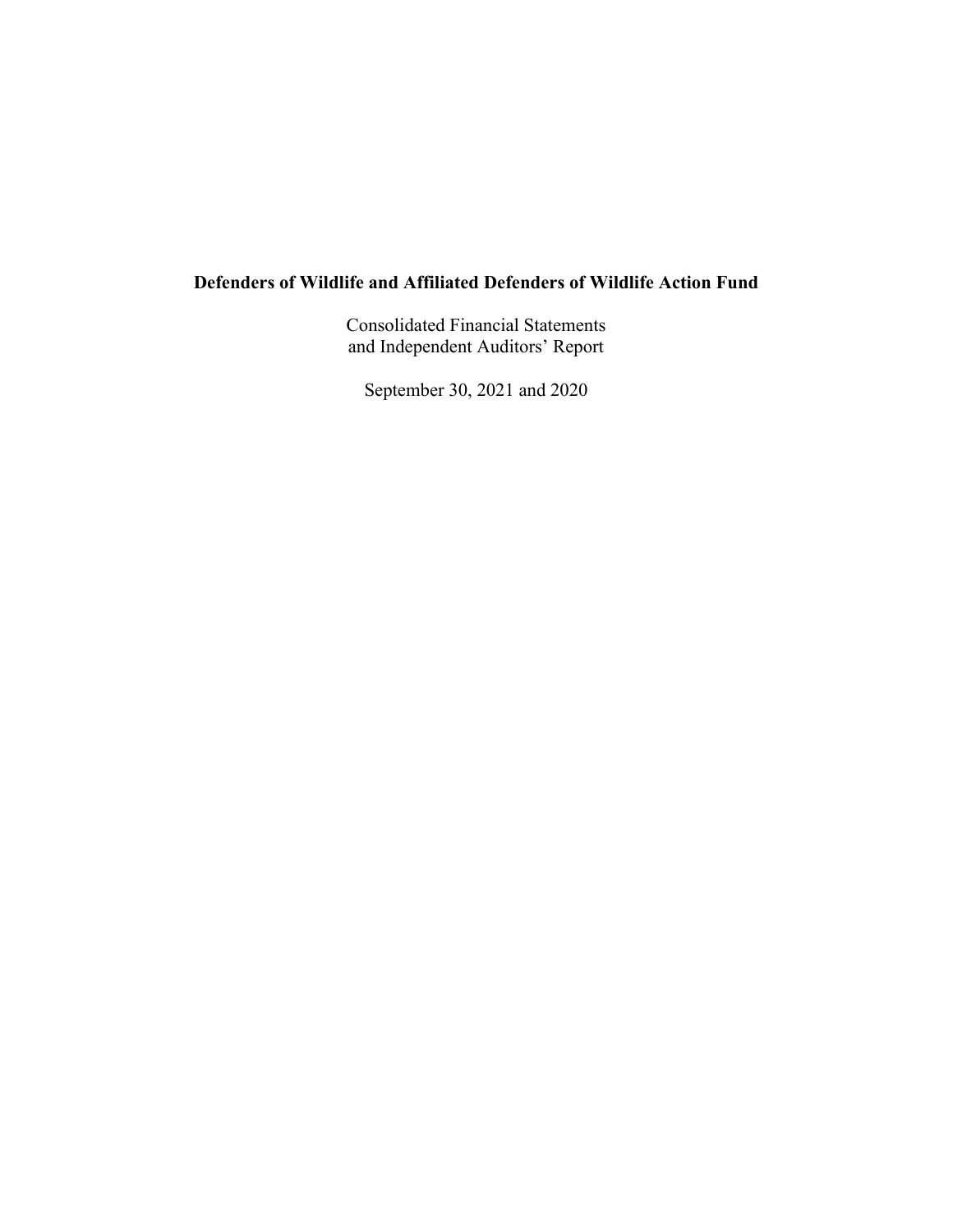Consolidated Financial Statements and Independent Auditors' Report

September 30, 2021 and 2020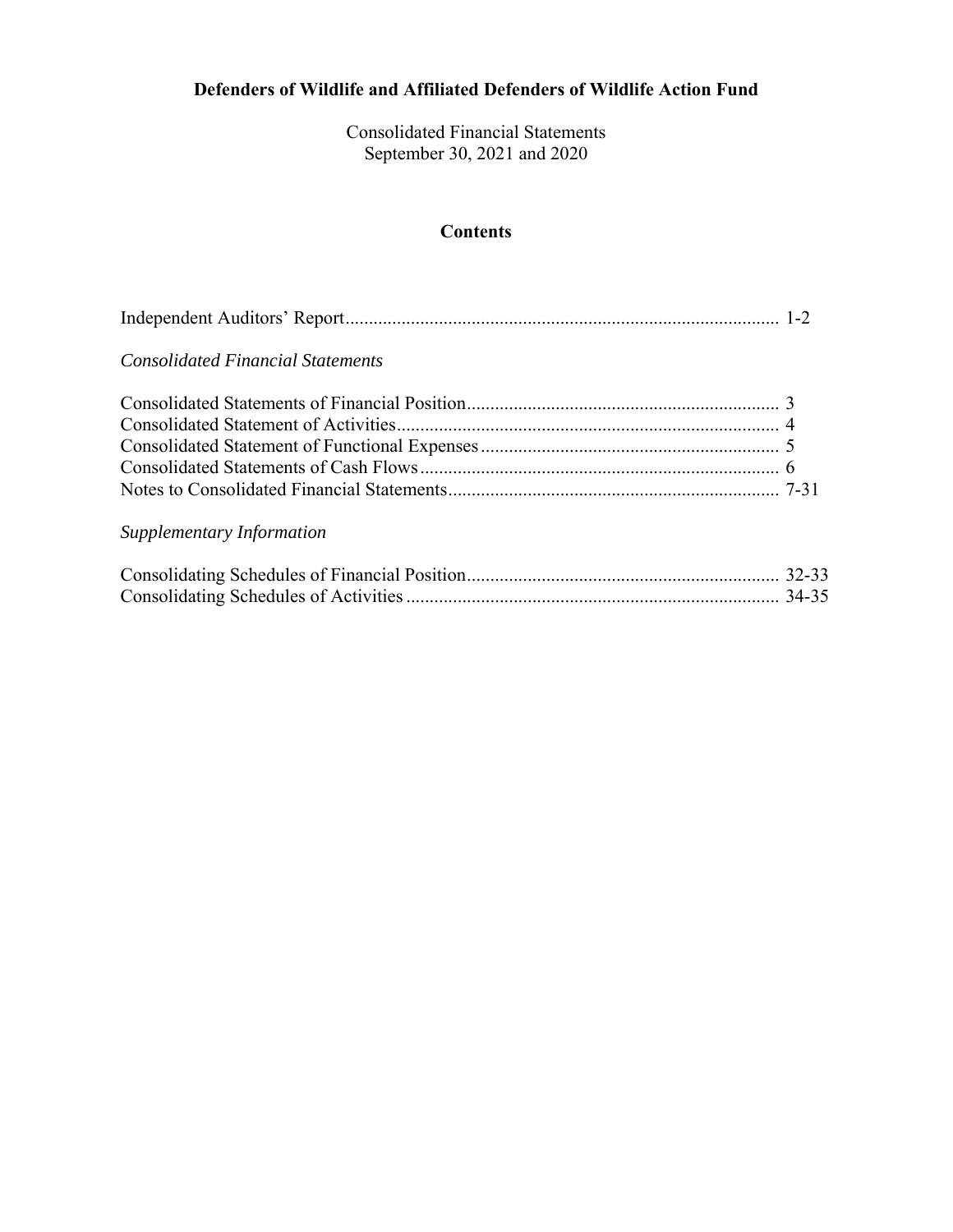Consolidated Financial Statements September 30, 2021 and 2020

## **Contents**

| <b>Consolidated Financial Statements</b> |  |
|------------------------------------------|--|
|                                          |  |
|                                          |  |
|                                          |  |
|                                          |  |
|                                          |  |

## *Supplementary Information*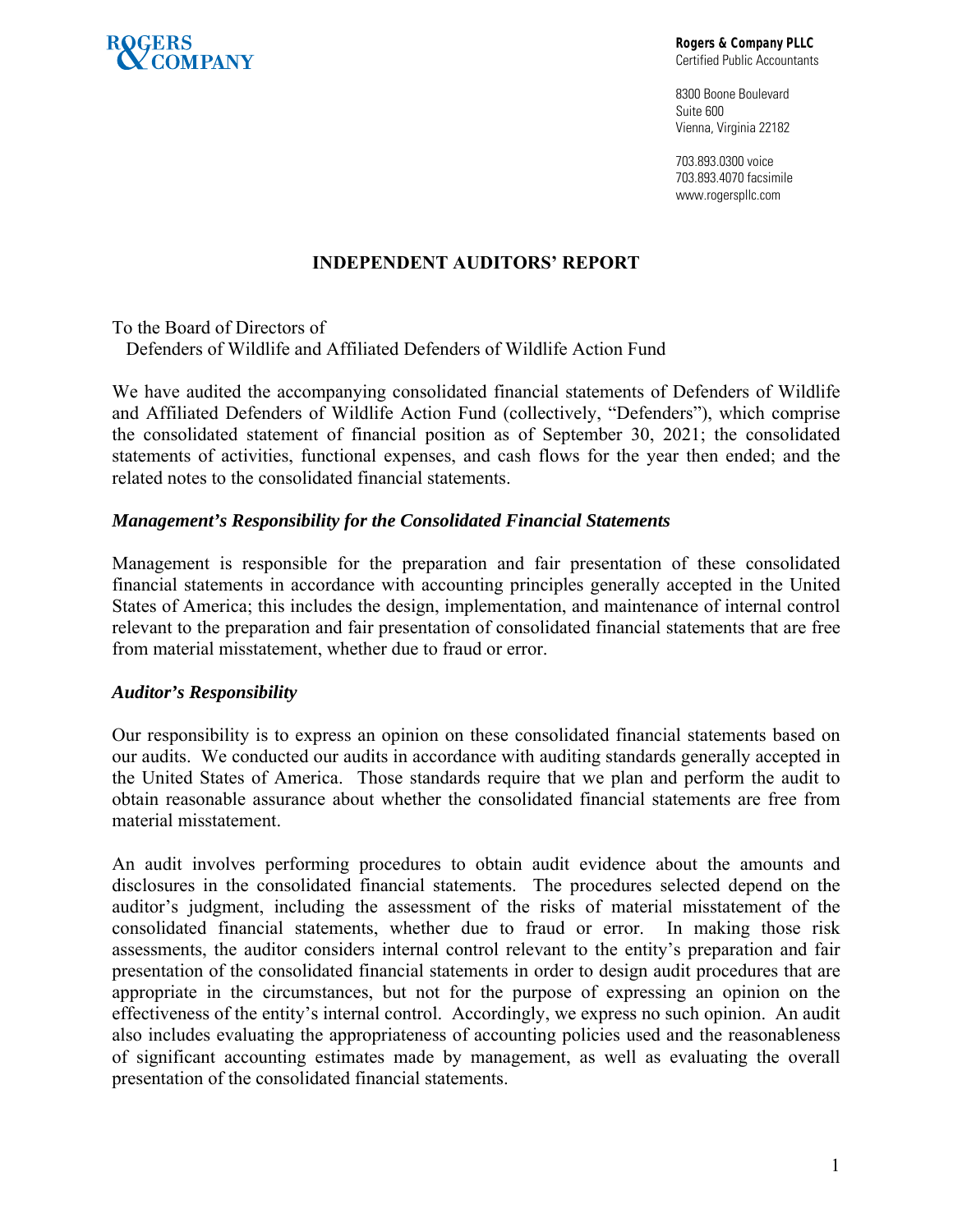

**Rogers & Company PLLC**  Certified Public Accountants

8300 Boone Boulevard Suite 600 Vienna, Virginia 22182

703.893.0300 voice 703.893.4070 facsimile www.rogerspllc.com

## **INDEPENDENT AUDITORS' REPORT**

To the Board of Directors of Defenders of Wildlife and Affiliated Defenders of Wildlife Action Fund

We have audited the accompanying consolidated financial statements of Defenders of Wildlife and Affiliated Defenders of Wildlife Action Fund (collectively, "Defenders"), which comprise the consolidated statement of financial position as of September 30, 2021; the consolidated statements of activities, functional expenses, and cash flows for the year then ended; and the related notes to the consolidated financial statements.

## *Management's Responsibility for the Consolidated Financial Statements*

Management is responsible for the preparation and fair presentation of these consolidated financial statements in accordance with accounting principles generally accepted in the United States of America; this includes the design, implementation, and maintenance of internal control relevant to the preparation and fair presentation of consolidated financial statements that are free from material misstatement, whether due to fraud or error.

## *Auditor's Responsibility*

Our responsibility is to express an opinion on these consolidated financial statements based on our audits. We conducted our audits in accordance with auditing standards generally accepted in the United States of America. Those standards require that we plan and perform the audit to obtain reasonable assurance about whether the consolidated financial statements are free from material misstatement.

An audit involves performing procedures to obtain audit evidence about the amounts and disclosures in the consolidated financial statements. The procedures selected depend on the auditor's judgment, including the assessment of the risks of material misstatement of the consolidated financial statements, whether due to fraud or error. In making those risk assessments, the auditor considers internal control relevant to the entity's preparation and fair presentation of the consolidated financial statements in order to design audit procedures that are appropriate in the circumstances, but not for the purpose of expressing an opinion on the effectiveness of the entity's internal control. Accordingly, we express no such opinion. An audit also includes evaluating the appropriateness of accounting policies used and the reasonableness of significant accounting estimates made by management, as well as evaluating the overall presentation of the consolidated financial statements.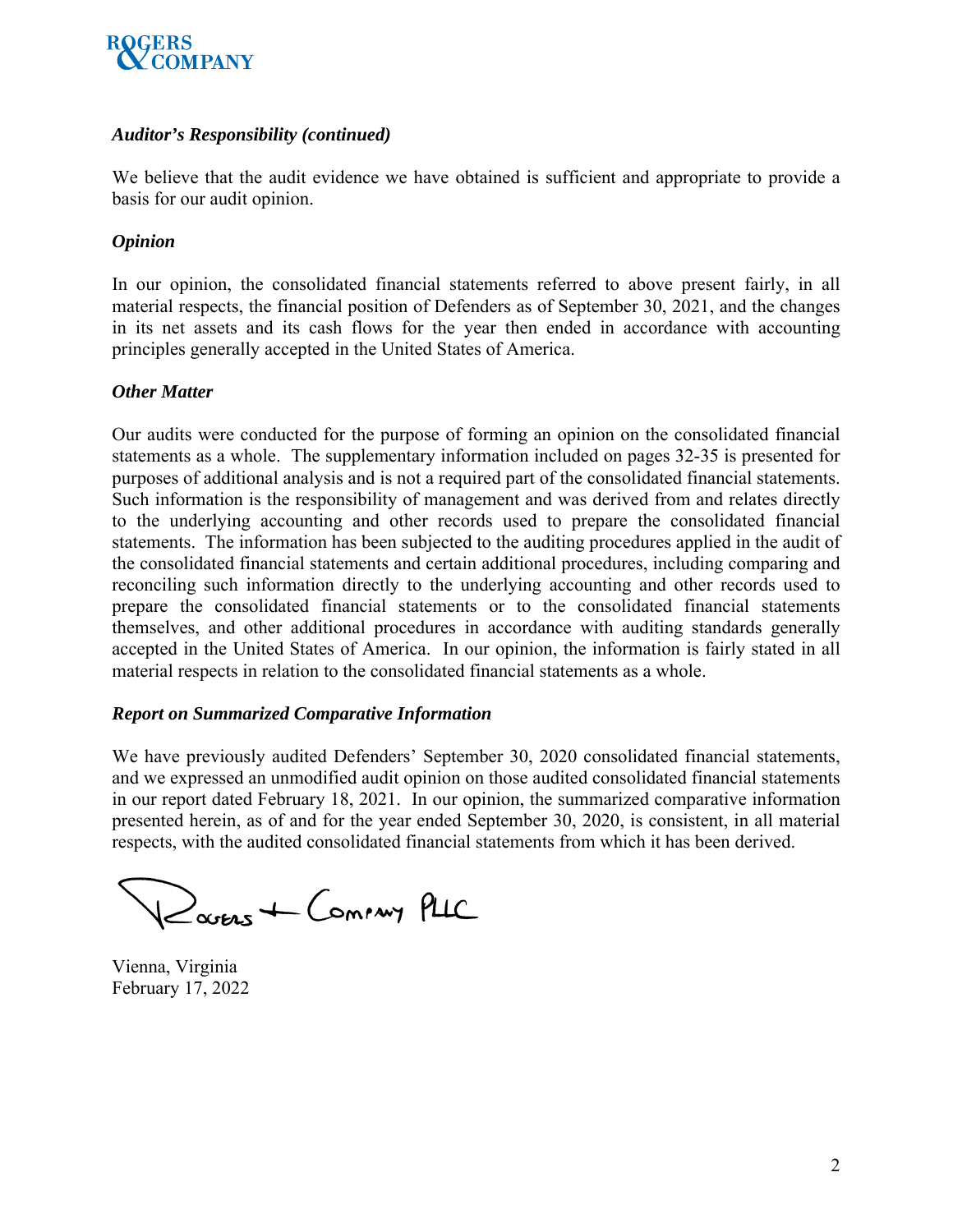## **ROGERS COMPANY**

## *Auditor's Responsibility (continued)*

We believe that the audit evidence we have obtained is sufficient and appropriate to provide a basis for our audit opinion.

## *Opinion*

In our opinion, the consolidated financial statements referred to above present fairly, in all material respects, the financial position of Defenders as of September 30, 2021, and the changes in its net assets and its cash flows for the year then ended in accordance with accounting principles generally accepted in the United States of America.

## *Other Matter*

Our audits were conducted for the purpose of forming an opinion on the consolidated financial statements as a whole. The supplementary information included on pages 32-35 is presented for purposes of additional analysis and is not a required part of the consolidated financial statements. Such information is the responsibility of management and was derived from and relates directly to the underlying accounting and other records used to prepare the consolidated financial statements. The information has been subjected to the auditing procedures applied in the audit of the consolidated financial statements and certain additional procedures, including comparing and reconciling such information directly to the underlying accounting and other records used to prepare the consolidated financial statements or to the consolidated financial statements themselves, and other additional procedures in accordance with auditing standards generally accepted in the United States of America. In our opinion, the information is fairly stated in all material respects in relation to the consolidated financial statements as a whole.

## *Report on Summarized Comparative Information*

We have previously audited Defenders' September 30, 2020 consolidated financial statements, and we expressed an unmodified audit opinion on those audited consolidated financial statements in our report dated February 18, 2021. In our opinion, the summarized comparative information presented herein, as of and for the year ended September 30, 2020, is consistent, in all material respects, with the audited consolidated financial statements from which it has been derived.

Rooms + Coming PLIC

Vienna, Virginia February 17, 2022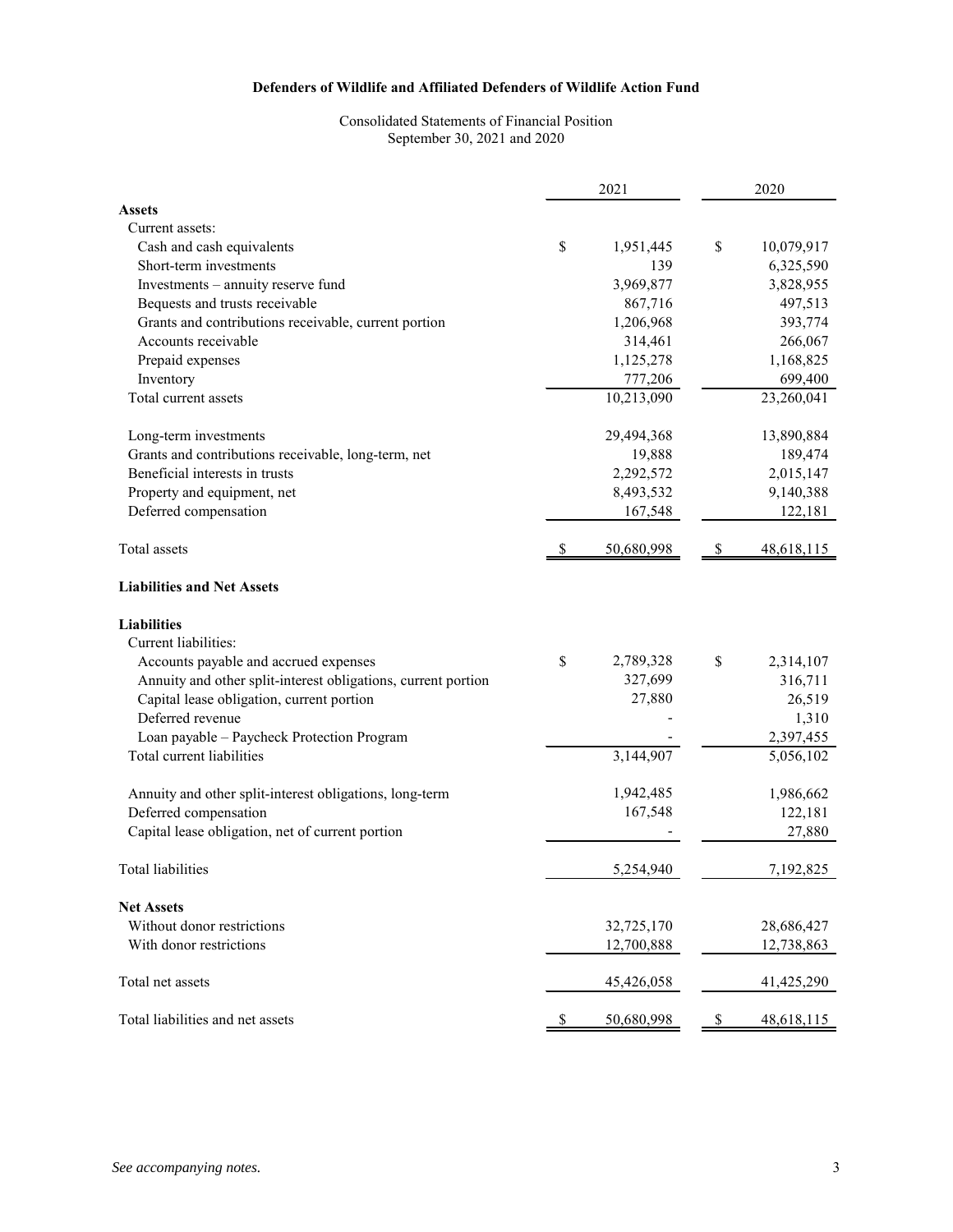#### Consolidated Statements of Financial Position September 30, 2021 and 2020

|                                                               | 2021            | 2020             |
|---------------------------------------------------------------|-----------------|------------------|
| <b>Assets</b>                                                 |                 |                  |
| Current assets:                                               |                 |                  |
| Cash and cash equivalents                                     | \$<br>1,951,445 | \$<br>10,079,917 |
| Short-term investments                                        | 139             | 6,325,590        |
| Investments - annuity reserve fund                            | 3,969,877       | 3,828,955        |
| Bequests and trusts receivable                                | 867,716         | 497,513          |
| Grants and contributions receivable, current portion          | 1,206,968       | 393,774          |
| Accounts receivable                                           | 314,461         | 266,067          |
| Prepaid expenses                                              | 1,125,278       | 1,168,825        |
| Inventory                                                     | 777,206         | 699,400          |
| Total current assets                                          | 10,213,090      | 23,260,041       |
| Long-term investments                                         | 29,494,368      | 13,890,884       |
| Grants and contributions receivable, long-term, net           | 19,888          | 189,474          |
| Beneficial interests in trusts                                | 2,292,572       | 2,015,147        |
| Property and equipment, net                                   | 8,493,532       | 9,140,388        |
| Deferred compensation                                         | 167,548         | 122,181          |
| Total assets                                                  | 50,680,998      | 48,618,115       |
| <b>Liabilities and Net Assets</b>                             |                 |                  |
| <b>Liabilities</b>                                            |                 |                  |
| Current liabilities:                                          |                 |                  |
| Accounts payable and accrued expenses                         | \$<br>2,789,328 | \$<br>2,314,107  |
| Annuity and other split-interest obligations, current portion | 327,699         | 316,711          |
| Capital lease obligation, current portion                     | 27,880          | 26,519           |
| Deferred revenue                                              |                 | 1,310            |
| Loan payable - Paycheck Protection Program                    |                 | 2,397,455        |
| Total current liabilities                                     | 3,144,907       | 5,056,102        |
| Annuity and other split-interest obligations, long-term       | 1,942,485       | 1,986,662        |
| Deferred compensation                                         | 167,548         | 122,181          |
| Capital lease obligation, net of current portion              |                 | 27,880           |
| Total liabilities                                             | 5,254,940       | 7,192,825        |
| <b>Net Assets</b>                                             |                 |                  |
| Without donor restrictions                                    | 32,725,170      | 28,686,427       |
| With donor restrictions                                       | 12,700,888      | 12,738,863       |
| Total net assets                                              | 45,426,058      | 41,425,290       |
| Total liabilities and net assets                              | 50,680,998      | 48,618,115       |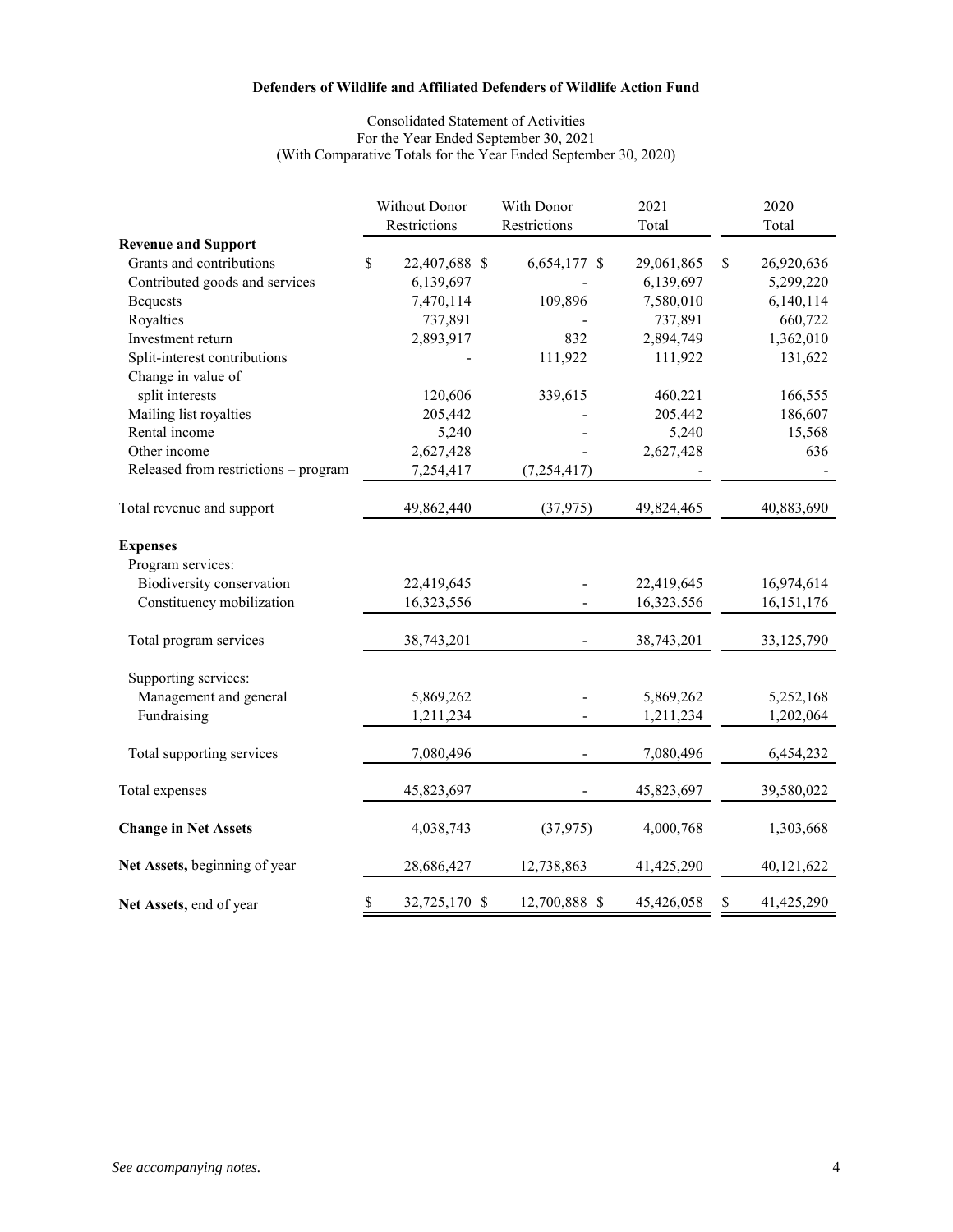#### Consolidated Statement of Activities For the Year Ended September 30, 2021 (With Comparative Totals for the Year Ended September 30, 2020)

|                                                    | Without Donor<br>Restrictions | With Donor<br>Restrictions | 2021<br>Total |    | 2020<br>Total |
|----------------------------------------------------|-------------------------------|----------------------------|---------------|----|---------------|
| <b>Revenue and Support</b>                         |                               |                            |               |    |               |
| Grants and contributions                           | \$<br>22,407,688 \$           | 6,654,177 \$               | 29,061,865    | \$ | 26,920,636    |
| Contributed goods and services                     | 6,139,697                     |                            | 6,139,697     |    | 5,299,220     |
| <b>Bequests</b>                                    | 7,470,114                     | 109,896                    | 7,580,010     |    | 6,140,114     |
| Royalties                                          | 737,891                       |                            | 737,891       |    | 660,722       |
| Investment return                                  | 2,893,917                     | 832                        | 2,894,749     |    | 1,362,010     |
| Split-interest contributions<br>Change in value of |                               | 111,922                    | 111,922       |    | 131,622       |
| split interests                                    | 120,606                       | 339,615                    | 460,221       |    | 166,555       |
| Mailing list royalties                             | 205,442                       |                            | 205,442       |    | 186,607       |
| Rental income                                      | 5,240                         |                            | 5,240         |    | 15,568        |
| Other income                                       | 2,627,428                     |                            | 2,627,428     |    | 636           |
| Released from restrictions - program               | 7,254,417                     | (7, 254, 417)              |               |    |               |
| Total revenue and support                          | 49,862,440                    | (37, 975)                  | 49,824,465    |    | 40,883,690    |
| <b>Expenses</b>                                    |                               |                            |               |    |               |
| Program services:                                  |                               |                            |               |    |               |
| Biodiversity conservation                          | 22,419,645                    |                            | 22,419,645    |    | 16,974,614    |
| Constituency mobilization                          | 16,323,556                    |                            | 16,323,556    |    | 16, 151, 176  |
| Total program services                             | 38,743,201                    |                            | 38,743,201    |    | 33,125,790    |
| Supporting services:                               |                               |                            |               |    |               |
| Management and general                             | 5,869,262                     |                            | 5,869,262     |    | 5,252,168     |
| Fundraising                                        | 1,211,234                     |                            | 1,211,234     |    | 1,202,064     |
| Total supporting services                          | 7,080,496                     |                            | 7,080,496     |    | 6,454,232     |
| Total expenses                                     | 45,823,697                    |                            | 45,823,697    |    | 39,580,022    |
| <b>Change in Net Assets</b>                        | 4,038,743                     | (37, 975)                  | 4,000,768     |    | 1,303,668     |
| Net Assets, beginning of year                      | 28,686,427                    | 12,738,863                 | 41,425,290    |    | 40,121,622    |
| Net Assets, end of year                            | \$<br>32,725,170 \$           | 12,700,888 \$              | 45,426,058    | S  | 41,425,290    |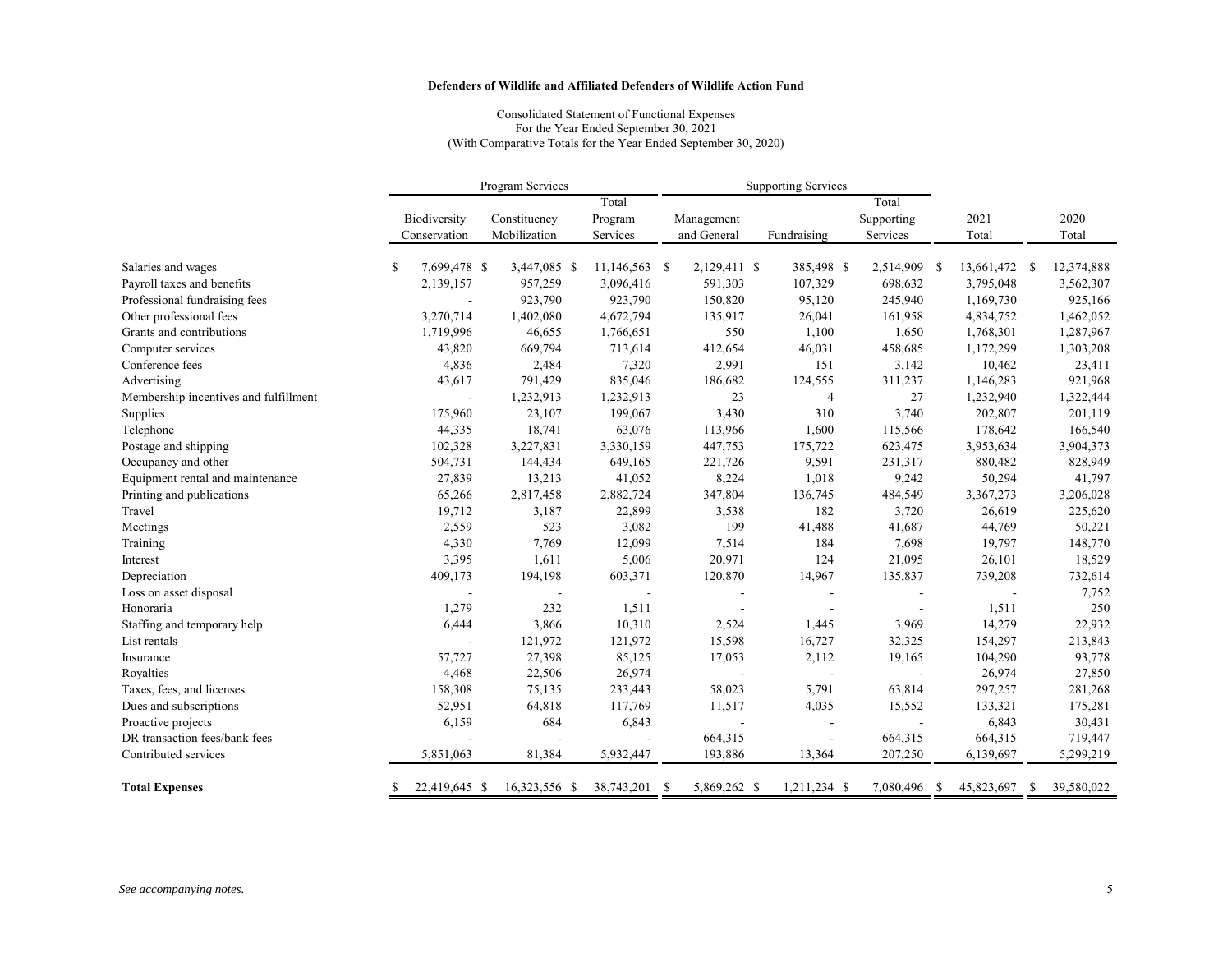#### Consolidated Statement of Functional Expenses For the Year Ended September 30, 2021 (With Comparative Totals for the Year Ended September 30, 2020)

|                                       |                   | Program Services |               | <b>Supporting Services</b> |                |            |                   |                  |
|---------------------------------------|-------------------|------------------|---------------|----------------------------|----------------|------------|-------------------|------------------|
|                                       |                   |                  | Total         |                            |                | Total      |                   |                  |
|                                       | Biodiversity      | Constituency     | Program       | Management                 |                | Supporting | 2021              | 2020             |
|                                       | Conservation      | Mobilization     | Services      | and General                | Fundraising    | Services   | Total             | Total            |
| Salaries and wages                    | 7,699,478 \$<br>S | 3,447,085 \$     | 11,146,563 \$ | 2,129,411 \$               | 385,498 \$     | 2,514,909  | 13,661,472        | 12,374,888       |
| Payroll taxes and benefits            | 2,139,157         | 957,259          | 3,096,416     | 591,303                    | 107,329        | 698,632    | - \$<br>3,795,048 | -S<br>3,562,307  |
| Professional fundraising fees         |                   | 923,790          | 923,790       | 150,820                    | 95,120         | 245,940    | 1,169,730         | 925,166          |
| Other professional fees               | 3,270,714         | 1,402,080        | 4,672,794     | 135,917                    | 26,041         | 161,958    | 4,834,752         | 1,462,052        |
| Grants and contributions              | 1,719,996         | 46,655           | 1,766,651     | 550                        | 1,100          | 1,650      | 1,768,301         | 1,287,967        |
| Computer services                     | 43,820            | 669,794          | 713,614       | 412,654                    | 46,031         | 458,685    | 1,172,299         | 1,303,208        |
| Conference fees                       | 4,836             | 2,484            | 7,320         | 2,991                      | 151            | 3,142      | 10,462            | 23,411           |
| Advertising                           | 43,617            | 791,429          | 835,046       | 186,682                    | 124,555        | 311,237    | 1,146,283         | 921,968          |
| Membership incentives and fulfillment |                   | 1,232,913        | 1,232,913     | 23                         | $\overline{4}$ | 27         | 1,232,940         | 1,322,444        |
| Supplies                              | 175,960           | 23,107           | 199,067       | 3,430                      | 310            | 3,740      | 202,807           | 201,119          |
| Telephone                             | 44,335            | 18,741           | 63,076        | 113,966                    | 1,600          | 115,566    | 178,642           | 166,540          |
| Postage and shipping                  | 102,328           | 3,227,831        | 3,330,159     | 447,753                    | 175,722        | 623,475    | 3,953,634         | 3,904,373        |
| Occupancy and other                   | 504,731           | 144,434          | 649,165       | 221,726                    | 9,591          | 231,317    | 880,482           | 828,949          |
| Equipment rental and maintenance      | 27,839            | 13,213           | 41,052        | 8,224                      | 1,018          | 9,242      | 50,294            | 41,797           |
| Printing and publications             | 65,266            | 2,817,458        | 2,882,724     | 347,804                    | 136,745        | 484,549    | 3,367,273         | 3,206,028        |
| Travel                                | 19,712            | 3,187            | 22,899        | 3,538                      | 182            | 3,720      | 26,619            | 225,620          |
| Meetings                              | 2,559             | 523              | 3,082         | 199                        | 41,488         | 41,687     | 44,769            | 50,221           |
| Training                              | 4,330             | 7,769            | 12,099        | 7,514                      | 184            | 7,698      | 19,797            | 148,770          |
| Interest                              | 3,395             | 1,611            | 5,006         | 20,971                     | 124            | 21,095     | 26,101            | 18,529           |
| Depreciation                          | 409,173           | 194,198          | 603,371       | 120,870                    | 14,967         | 135,837    | 739,208           | 732,614          |
| Loss on asset disposal                |                   |                  | ÷,            |                            | $\sim$         |            |                   | 7,752            |
| Honoraria                             | 1,279             | 232              | 1,511         |                            |                |            | 1,511             | 250              |
| Staffing and temporary help           | 6,444             | 3,866            | 10,310        | 2,524                      | 1,445          | 3,969      | 14,279            | 22,932           |
| List rentals                          |                   | 121,972          | 121,972       | 15,598                     | 16,727         | 32,325     | 154,297           | 213,843          |
| Insurance                             | 57,727            | 27,398           | 85,125        | 17,053                     | 2,112          | 19,165     | 104,290           | 93,778           |
| Royalties                             | 4,468             | 22,506           | 26,974        |                            |                |            | 26,974            | 27,850           |
| Taxes, fees, and licenses             | 158,308           | 75,135           | 233,443       | 58,023                     | 5,791          | 63,814     | 297,257           | 281,268          |
| Dues and subscriptions                | 52,951            | 64,818           | 117,769       | 11,517                     | 4,035          | 15,552     | 133,321           | 175,281          |
| Proactive projects                    | 6,159             | 684              | 6,843         |                            |                |            | 6,843             | 30,431           |
| DR transaction fees/bank fees         |                   |                  |               | 664,315                    |                | 664,315    | 664,315           | 719,447          |
| Contributed services                  | 5,851,063         | 81,384           | 5,932,447     | 193,886                    | 13,364         | 207,250    | 6,139,697         | 5,299,219        |
| <b>Total Expenses</b>                 | 22,419,645 \$     | 16,323,556 \$    | 38,743,201    | 5,869,262 \$<br>-S         | 1,211,234 \$   | 7,080,496  | 45,823,697<br>-S  | 39,580,022<br>-S |
|                                       |                   |                  |               |                            |                |            |                   |                  |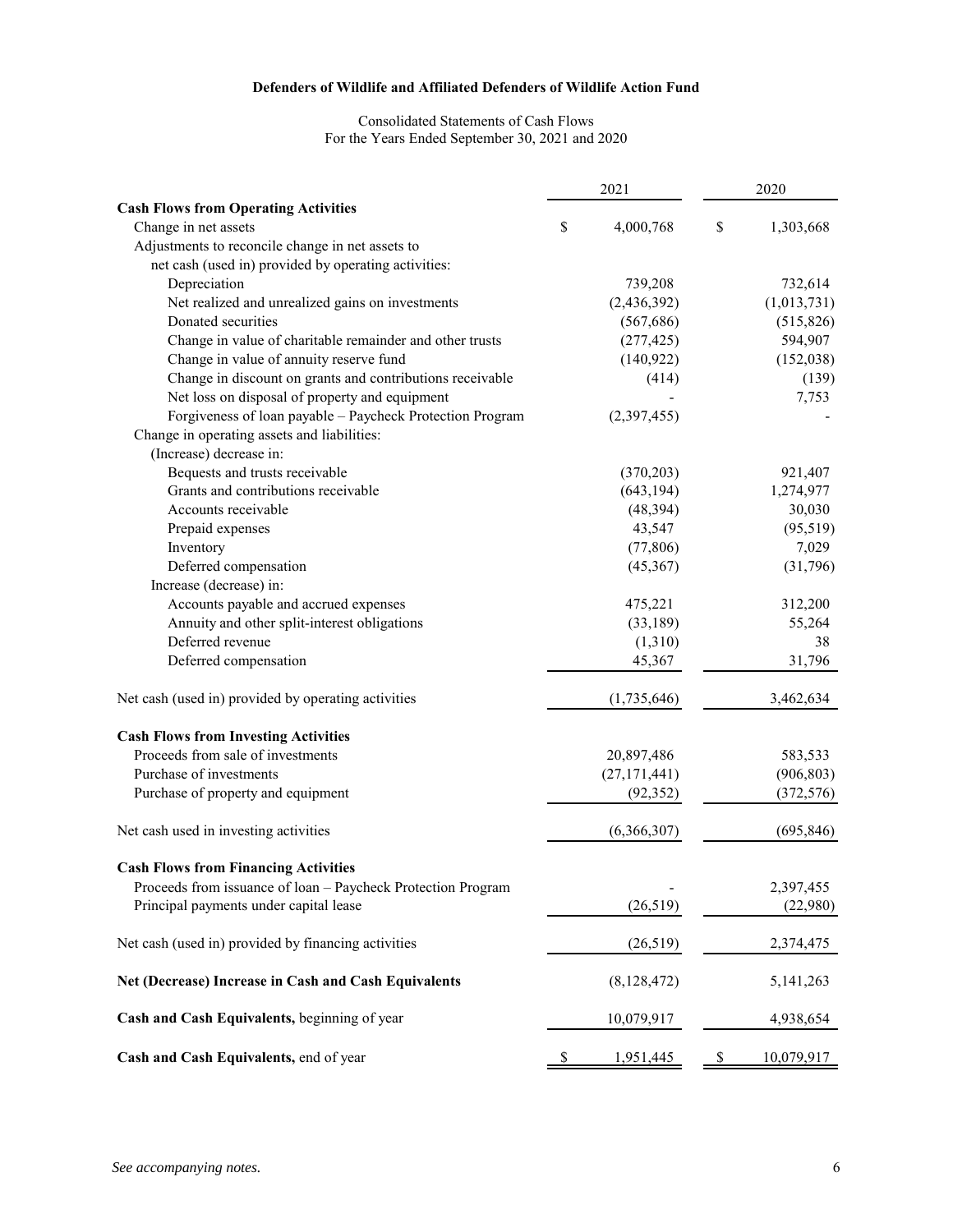#### Consolidated Statements of Cash Flows For the Years Ended September 30, 2021 and 2020

|                                                              |    | 2021           | 2020 |             |  |
|--------------------------------------------------------------|----|----------------|------|-------------|--|
| <b>Cash Flows from Operating Activities</b>                  |    |                |      |             |  |
| Change in net assets                                         | \$ | 4,000,768      | \$   | 1,303,668   |  |
| Adjustments to reconcile change in net assets to             |    |                |      |             |  |
| net cash (used in) provided by operating activities:         |    |                |      |             |  |
| Depreciation                                                 |    | 739,208        |      | 732,614     |  |
| Net realized and unrealized gains on investments             |    | (2,436,392)    |      | (1,013,731) |  |
| Donated securities                                           |    | (567, 686)     |      | (515, 826)  |  |
| Change in value of charitable remainder and other trusts     |    | (277, 425)     |      | 594,907     |  |
| Change in value of annuity reserve fund                      |    | (140, 922)     |      | (152,038)   |  |
| Change in discount on grants and contributions receivable    |    | (414)          |      | (139)       |  |
| Net loss on disposal of property and equipment               |    |                |      | 7,753       |  |
| Forgiveness of loan payable - Paycheck Protection Program    |    | (2,397,455)    |      |             |  |
| Change in operating assets and liabilities:                  |    |                |      |             |  |
| (Increase) decrease in:                                      |    |                |      |             |  |
| Bequests and trusts receivable                               |    | (370, 203)     |      | 921,407     |  |
| Grants and contributions receivable                          |    | (643, 194)     |      | 1,274,977   |  |
| Accounts receivable                                          |    | (48, 394)      |      | 30,030      |  |
| Prepaid expenses                                             |    | 43,547         |      | (95, 519)   |  |
| Inventory                                                    |    | (77, 806)      |      | 7,029       |  |
| Deferred compensation                                        |    | (45, 367)      |      | (31,796)    |  |
| Increase (decrease) in:                                      |    |                |      |             |  |
| Accounts payable and accrued expenses                        |    | 475,221        |      | 312,200     |  |
| Annuity and other split-interest obligations                 |    | (33, 189)      |      | 55,264      |  |
| Deferred revenue                                             |    | (1,310)        |      | 38          |  |
| Deferred compensation                                        |    | 45,367         |      | 31,796      |  |
|                                                              |    |                |      |             |  |
| Net cash (used in) provided by operating activities          |    | (1,735,646)    |      | 3,462,634   |  |
| <b>Cash Flows from Investing Activities</b>                  |    |                |      |             |  |
| Proceeds from sale of investments                            |    | 20,897,486     |      | 583,533     |  |
| Purchase of investments                                      |    | (27, 171, 441) |      | (906, 803)  |  |
| Purchase of property and equipment                           |    | (92, 352)      |      | (372, 576)  |  |
| Net cash used in investing activities                        |    | (6,366,307)    |      | (695, 846)  |  |
| <b>Cash Flows from Financing Activities</b>                  |    |                |      |             |  |
| Proceeds from issuance of loan - Paycheck Protection Program |    |                |      | 2,397,455   |  |
| Principal payments under capital lease                       |    | (26, 519)      |      | (22,980)    |  |
| Net cash (used in) provided by financing activities          |    | (26, 519)      |      | 2,374,475   |  |
| Net (Decrease) Increase in Cash and Cash Equivalents         |    | (8,128,472)    |      | 5, 141, 263 |  |
| Cash and Cash Equivalents, beginning of year                 |    | 10,079,917     |      | 4,938,654   |  |
| Cash and Cash Equivalents, end of year                       | \$ | 1,951,445      | \$   | 10,079,917  |  |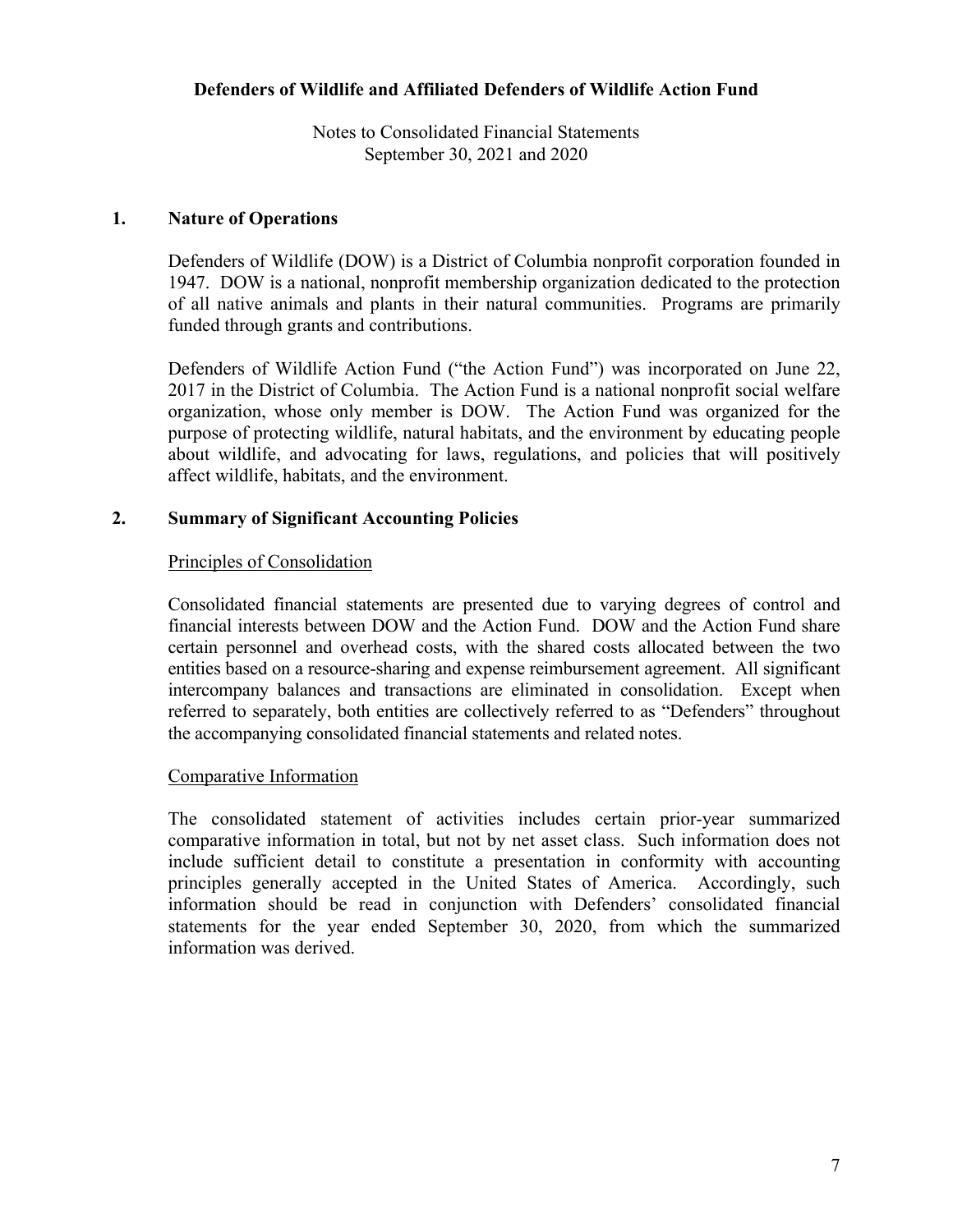Notes to Consolidated Financial Statements September 30, 2021 and 2020

## **1. Nature of Operations**

Defenders of Wildlife (DOW) is a District of Columbia nonprofit corporation founded in 1947. DOW is a national, nonprofit membership organization dedicated to the protection of all native animals and plants in their natural communities. Programs are primarily funded through grants and contributions.

Defenders of Wildlife Action Fund ("the Action Fund") was incorporated on June 22, 2017 in the District of Columbia. The Action Fund is a national nonprofit social welfare organization, whose only member is DOW. The Action Fund was organized for the purpose of protecting wildlife, natural habitats, and the environment by educating people about wildlife, and advocating for laws, regulations, and policies that will positively affect wildlife, habitats, and the environment.

## **2. Summary of Significant Accounting Policies**

## Principles of Consolidation

Consolidated financial statements are presented due to varying degrees of control and financial interests between DOW and the Action Fund. DOW and the Action Fund share certain personnel and overhead costs, with the shared costs allocated between the two entities based on a resource-sharing and expense reimbursement agreement. All significant intercompany balances and transactions are eliminated in consolidation. Except when referred to separately, both entities are collectively referred to as "Defenders" throughout the accompanying consolidated financial statements and related notes.

## Comparative Information

The consolidated statement of activities includes certain prior-year summarized comparative information in total, but not by net asset class. Such information does not include sufficient detail to constitute a presentation in conformity with accounting principles generally accepted in the United States of America. Accordingly, such information should be read in conjunction with Defenders' consolidated financial statements for the year ended September 30, 2020, from which the summarized information was derived.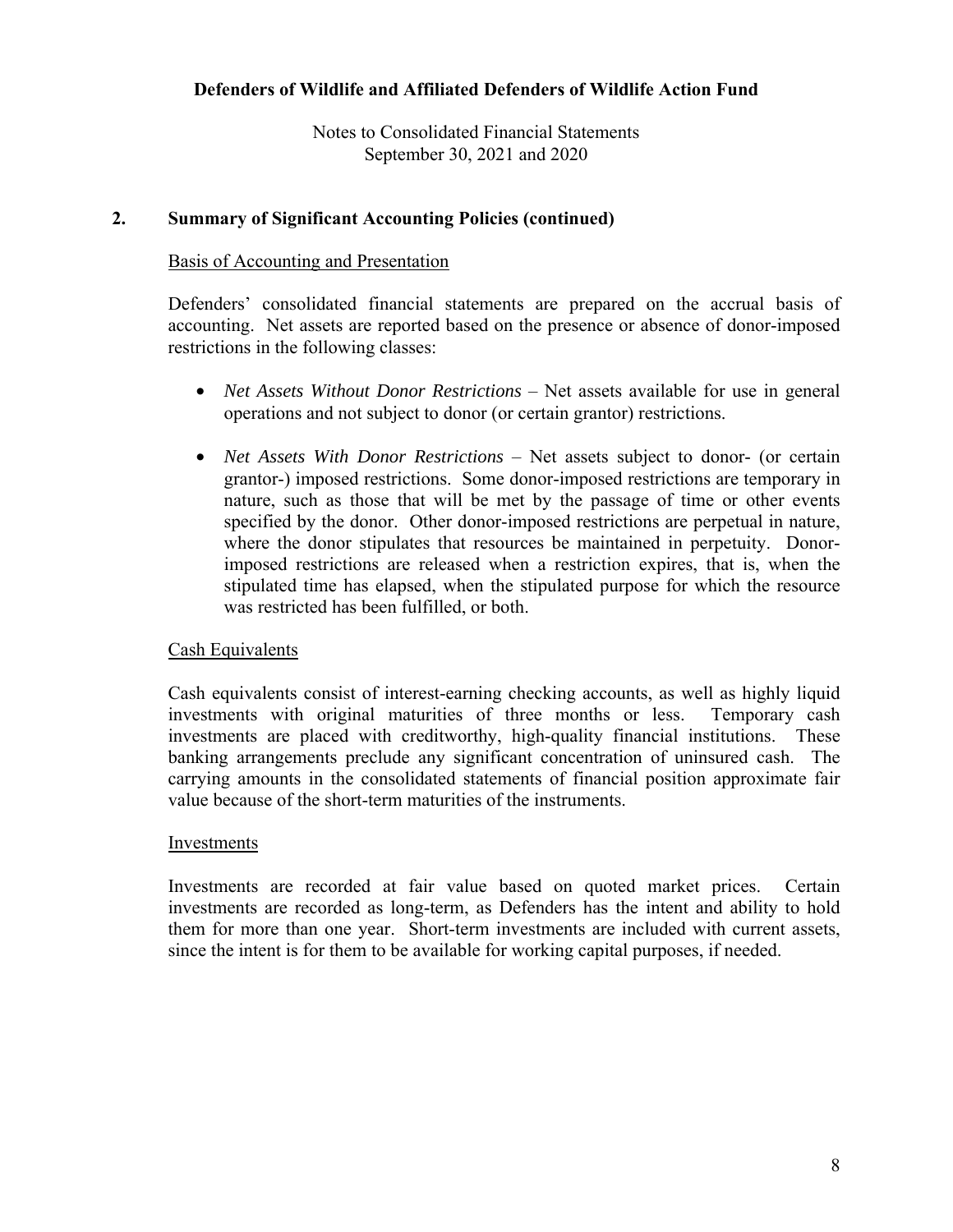Notes to Consolidated Financial Statements September 30, 2021 and 2020

## **2. Summary of Significant Accounting Policies (continued)**

## Basis of Accounting and Presentation

Defenders' consolidated financial statements are prepared on the accrual basis of accounting. Net assets are reported based on the presence or absence of donor-imposed restrictions in the following classes:

- *Net Assets Without Donor Restrictions* Net assets available for use in general operations and not subject to donor (or certain grantor) restrictions.
- *Net Assets With Donor Restrictions* Net assets subject to donor- (or certain grantor-) imposed restrictions. Some donor-imposed restrictions are temporary in nature, such as those that will be met by the passage of time or other events specified by the donor. Other donor-imposed restrictions are perpetual in nature, where the donor stipulates that resources be maintained in perpetuity. Donorimposed restrictions are released when a restriction expires, that is, when the stipulated time has elapsed, when the stipulated purpose for which the resource was restricted has been fulfilled, or both.

## Cash Equivalents

Cash equivalents consist of interest-earning checking accounts, as well as highly liquid investments with original maturities of three months or less. Temporary cash investments are placed with creditworthy, high-quality financial institutions. These banking arrangements preclude any significant concentration of uninsured cash. The carrying amounts in the consolidated statements of financial position approximate fair value because of the short-term maturities of the instruments.

#### Investments

Investments are recorded at fair value based on quoted market prices. Certain investments are recorded as long-term, as Defenders has the intent and ability to hold them for more than one year. Short-term investments are included with current assets, since the intent is for them to be available for working capital purposes, if needed.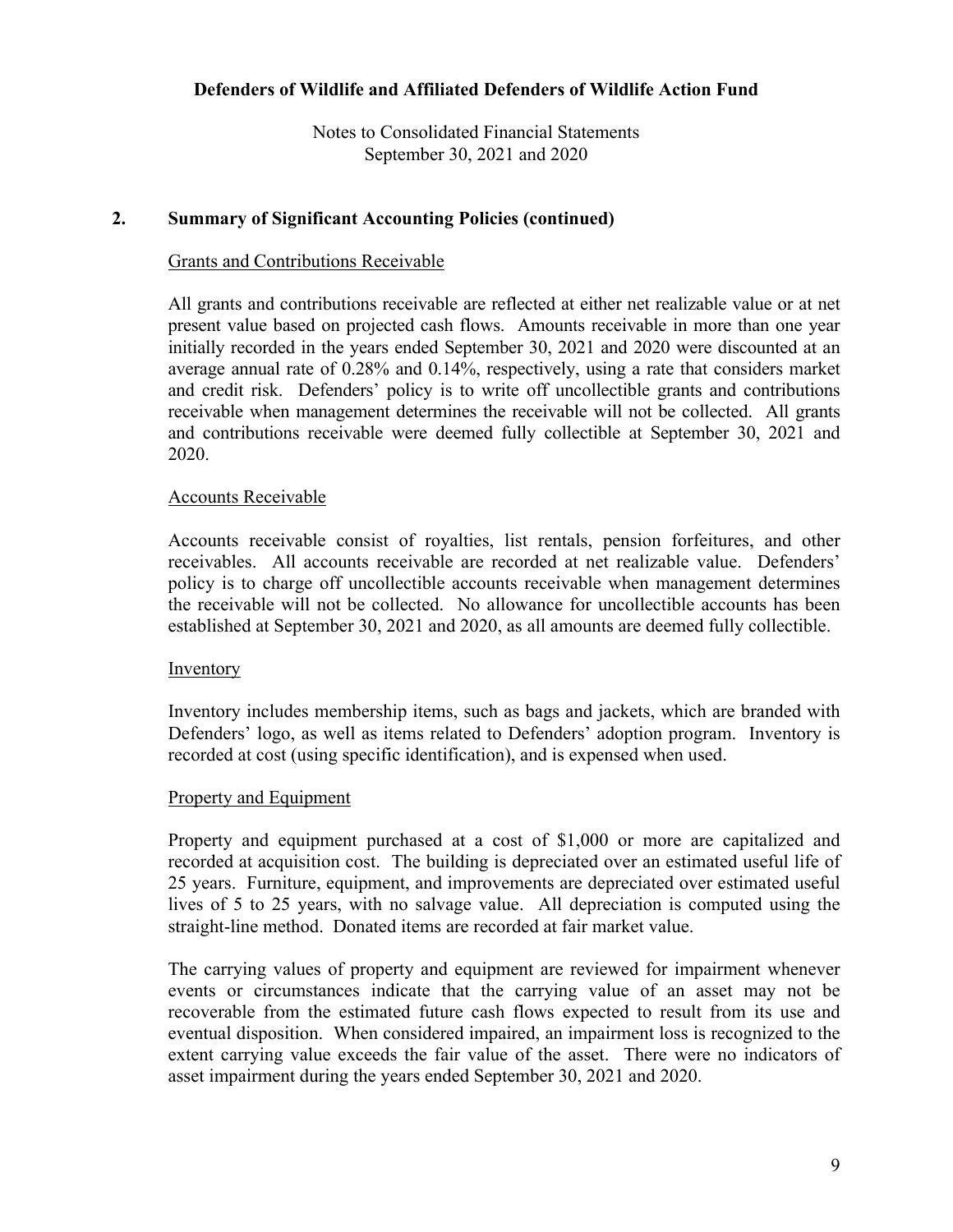Notes to Consolidated Financial Statements September 30, 2021 and 2020

## **2. Summary of Significant Accounting Policies (continued)**

## Grants and Contributions Receivable

All grants and contributions receivable are reflected at either net realizable value or at net present value based on projected cash flows. Amounts receivable in more than one year initially recorded in the years ended September 30, 2021 and 2020 were discounted at an average annual rate of 0.28% and 0.14%, respectively, using a rate that considers market and credit risk. Defenders' policy is to write off uncollectible grants and contributions receivable when management determines the receivable will not be collected. All grants and contributions receivable were deemed fully collectible at September 30, 2021 and 2020.

### Accounts Receivable

Accounts receivable consist of royalties, list rentals, pension forfeitures, and other receivables. All accounts receivable are recorded at net realizable value. Defenders' policy is to charge off uncollectible accounts receivable when management determines the receivable will not be collected. No allowance for uncollectible accounts has been established at September 30, 2021 and 2020, as all amounts are deemed fully collectible.

#### Inventory

Inventory includes membership items, such as bags and jackets, which are branded with Defenders' logo, as well as items related to Defenders' adoption program. Inventory is recorded at cost (using specific identification), and is expensed when used.

#### Property and Equipment

Property and equipment purchased at a cost of \$1,000 or more are capitalized and recorded at acquisition cost. The building is depreciated over an estimated useful life of 25 years. Furniture, equipment, and improvements are depreciated over estimated useful lives of 5 to 25 years, with no salvage value. All depreciation is computed using the straight-line method. Donated items are recorded at fair market value.

The carrying values of property and equipment are reviewed for impairment whenever events or circumstances indicate that the carrying value of an asset may not be recoverable from the estimated future cash flows expected to result from its use and eventual disposition. When considered impaired, an impairment loss is recognized to the extent carrying value exceeds the fair value of the asset. There were no indicators of asset impairment during the years ended September 30, 2021 and 2020.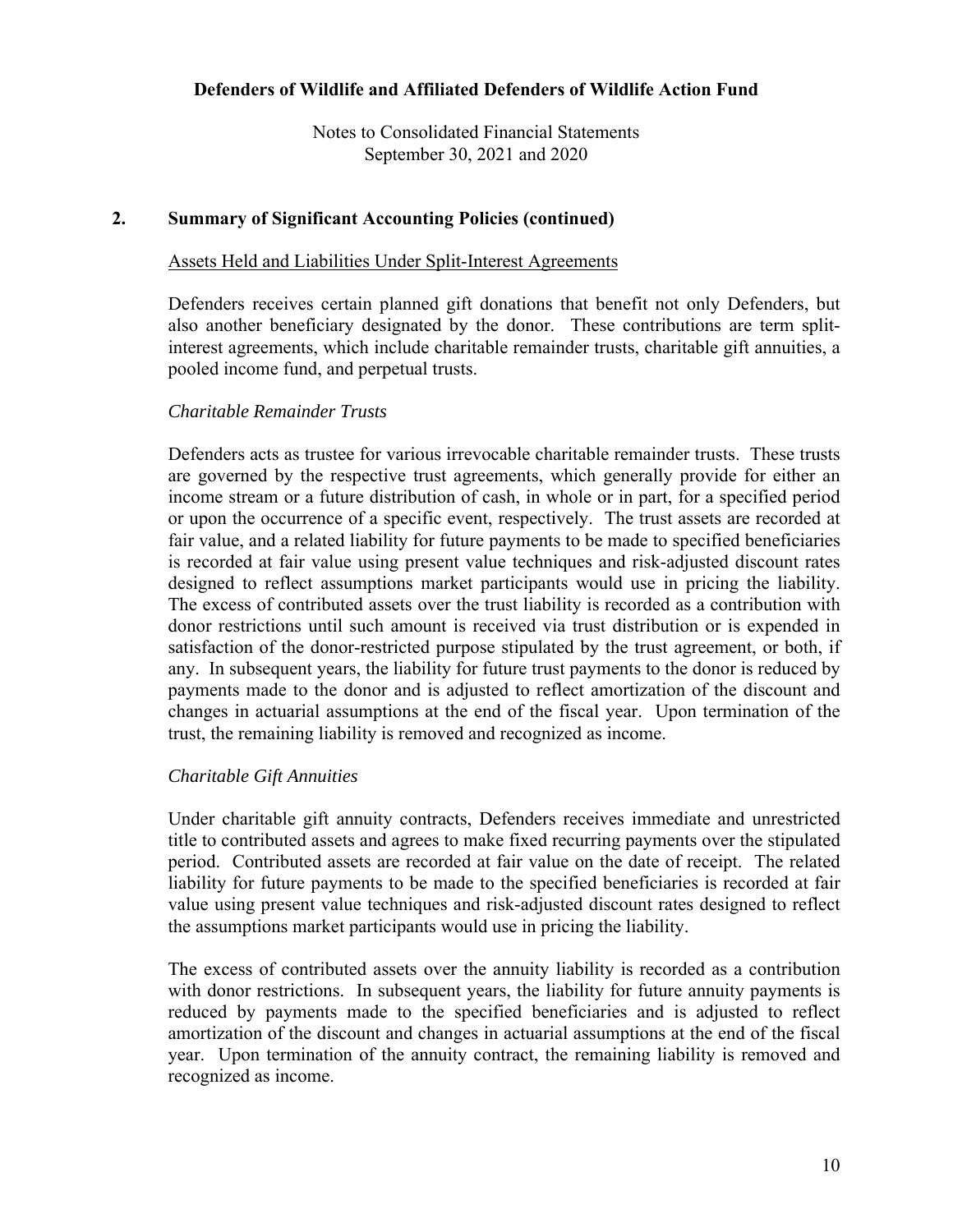Notes to Consolidated Financial Statements September 30, 2021 and 2020

## **2. Summary of Significant Accounting Policies (continued)**

### Assets Held and Liabilities Under Split-Interest Agreements

Defenders receives certain planned gift donations that benefit not only Defenders, but also another beneficiary designated by the donor. These contributions are term splitinterest agreements, which include charitable remainder trusts, charitable gift annuities, a pooled income fund, and perpetual trusts.

## *Charitable Remainder Trusts*

Defenders acts as trustee for various irrevocable charitable remainder trusts. These trusts are governed by the respective trust agreements, which generally provide for either an income stream or a future distribution of cash, in whole or in part, for a specified period or upon the occurrence of a specific event, respectively. The trust assets are recorded at fair value, and a related liability for future payments to be made to specified beneficiaries is recorded at fair value using present value techniques and risk-adjusted discount rates designed to reflect assumptions market participants would use in pricing the liability. The excess of contributed assets over the trust liability is recorded as a contribution with donor restrictions until such amount is received via trust distribution or is expended in satisfaction of the donor-restricted purpose stipulated by the trust agreement, or both, if any. In subsequent years, the liability for future trust payments to the donor is reduced by payments made to the donor and is adjusted to reflect amortization of the discount and changes in actuarial assumptions at the end of the fiscal year. Upon termination of the trust, the remaining liability is removed and recognized as income.

#### *Charitable Gift Annuities*

Under charitable gift annuity contracts, Defenders receives immediate and unrestricted title to contributed assets and agrees to make fixed recurring payments over the stipulated period. Contributed assets are recorded at fair value on the date of receipt. The related liability for future payments to be made to the specified beneficiaries is recorded at fair value using present value techniques and risk-adjusted discount rates designed to reflect the assumptions market participants would use in pricing the liability.

The excess of contributed assets over the annuity liability is recorded as a contribution with donor restrictions. In subsequent years, the liability for future annuity payments is reduced by payments made to the specified beneficiaries and is adjusted to reflect amortization of the discount and changes in actuarial assumptions at the end of the fiscal year. Upon termination of the annuity contract, the remaining liability is removed and recognized as income.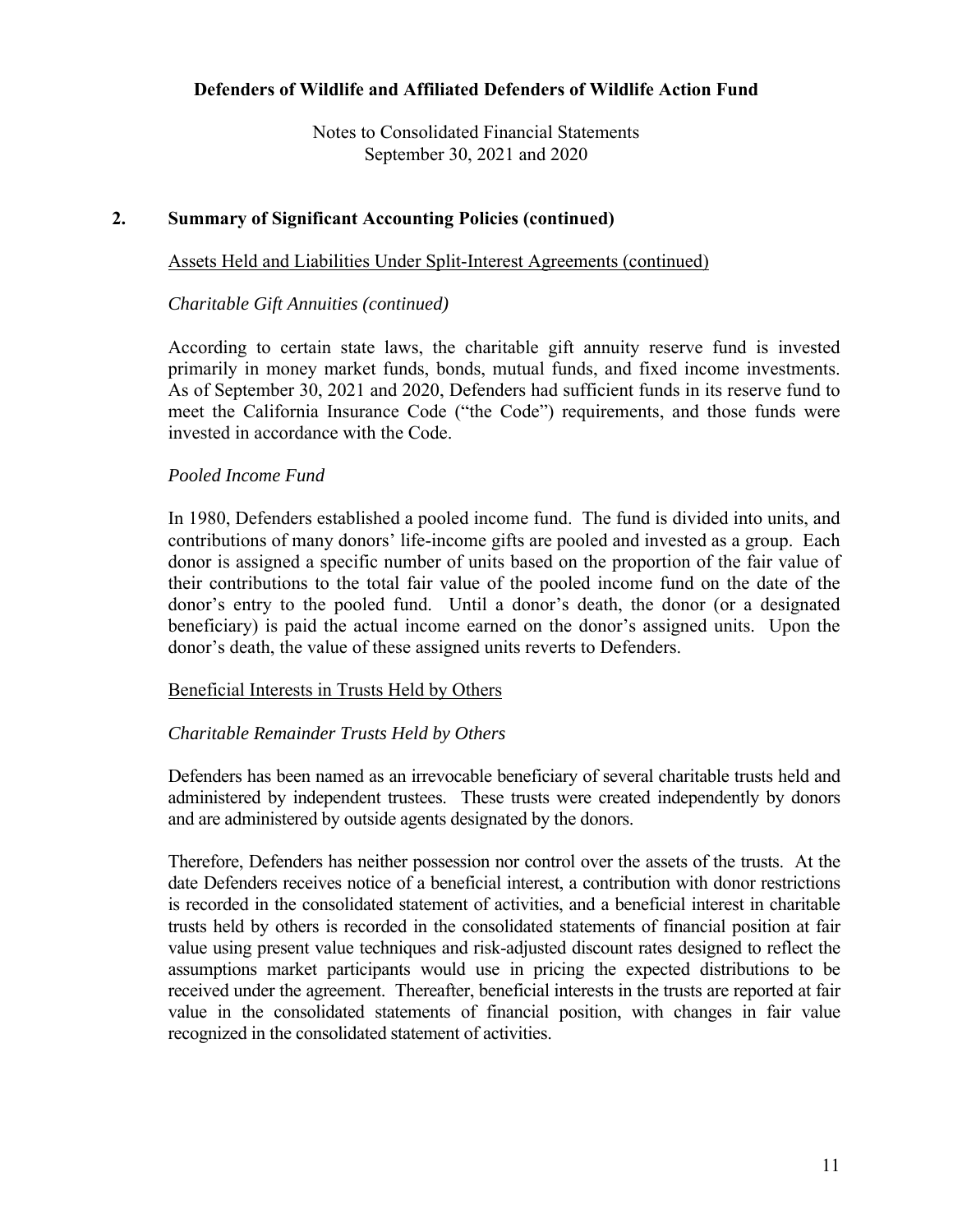Notes to Consolidated Financial Statements September 30, 2021 and 2020

## **2. Summary of Significant Accounting Policies (continued)**

Assets Held and Liabilities Under Split-Interest Agreements (continued)

### *Charitable Gift Annuities (continued)*

According to certain state laws, the charitable gift annuity reserve fund is invested primarily in money market funds, bonds, mutual funds, and fixed income investments. As of September 30, 2021 and 2020, Defenders had sufficient funds in its reserve fund to meet the California Insurance Code ("the Code") requirements, and those funds were invested in accordance with the Code.

### *Pooled Income Fund*

In 1980, Defenders established a pooled income fund. The fund is divided into units, and contributions of many donors' life-income gifts are pooled and invested as a group. Each donor is assigned a specific number of units based on the proportion of the fair value of their contributions to the total fair value of the pooled income fund on the date of the donor's entry to the pooled fund. Until a donor's death, the donor (or a designated beneficiary) is paid the actual income earned on the donor's assigned units. Upon the donor's death, the value of these assigned units reverts to Defenders.

## Beneficial Interests in Trusts Held by Others

#### *Charitable Remainder Trusts Held by Others*

Defenders has been named as an irrevocable beneficiary of several charitable trusts held and administered by independent trustees. These trusts were created independently by donors and are administered by outside agents designated by the donors.

Therefore, Defenders has neither possession nor control over the assets of the trusts. At the date Defenders receives notice of a beneficial interest, a contribution with donor restrictions is recorded in the consolidated statement of activities, and a beneficial interest in charitable trusts held by others is recorded in the consolidated statements of financial position at fair value using present value techniques and risk-adjusted discount rates designed to reflect the assumptions market participants would use in pricing the expected distributions to be received under the agreement. Thereafter, beneficial interests in the trusts are reported at fair value in the consolidated statements of financial position, with changes in fair value recognized in the consolidated statement of activities.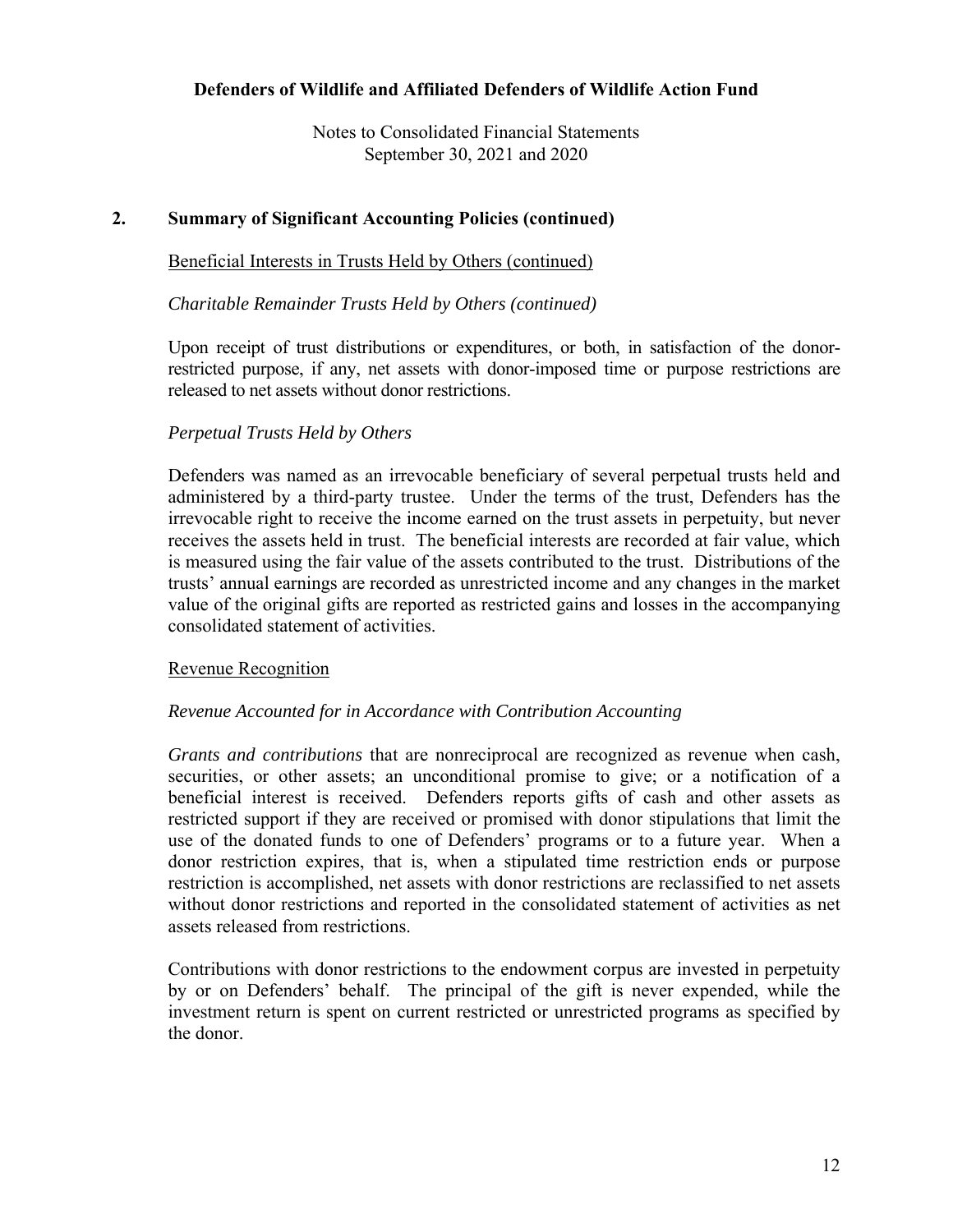Notes to Consolidated Financial Statements September 30, 2021 and 2020

## **2. Summary of Significant Accounting Policies (continued)**

Beneficial Interests in Trusts Held by Others (continued)

*Charitable Remainder Trusts Held by Others (continued)* 

Upon receipt of trust distributions or expenditures, or both, in satisfaction of the donorrestricted purpose, if any, net assets with donor-imposed time or purpose restrictions are released to net assets without donor restrictions.

## *Perpetual Trusts Held by Others*

Defenders was named as an irrevocable beneficiary of several perpetual trusts held and administered by a third-party trustee. Under the terms of the trust, Defenders has the irrevocable right to receive the income earned on the trust assets in perpetuity, but never receives the assets held in trust. The beneficial interests are recorded at fair value, which is measured using the fair value of the assets contributed to the trust. Distributions of the trusts' annual earnings are recorded as unrestricted income and any changes in the market value of the original gifts are reported as restricted gains and losses in the accompanying consolidated statement of activities.

#### Revenue Recognition

#### *Revenue Accounted for in Accordance with Contribution Accounting*

*Grants and contributions* that are nonreciprocal are recognized as revenue when cash, securities, or other assets; an unconditional promise to give; or a notification of a beneficial interest is received. Defenders reports gifts of cash and other assets as restricted support if they are received or promised with donor stipulations that limit the use of the donated funds to one of Defenders' programs or to a future year. When a donor restriction expires, that is, when a stipulated time restriction ends or purpose restriction is accomplished, net assets with donor restrictions are reclassified to net assets without donor restrictions and reported in the consolidated statement of activities as net assets released from restrictions.

Contributions with donor restrictions to the endowment corpus are invested in perpetuity by or on Defenders' behalf. The principal of the gift is never expended, while the investment return is spent on current restricted or unrestricted programs as specified by the donor.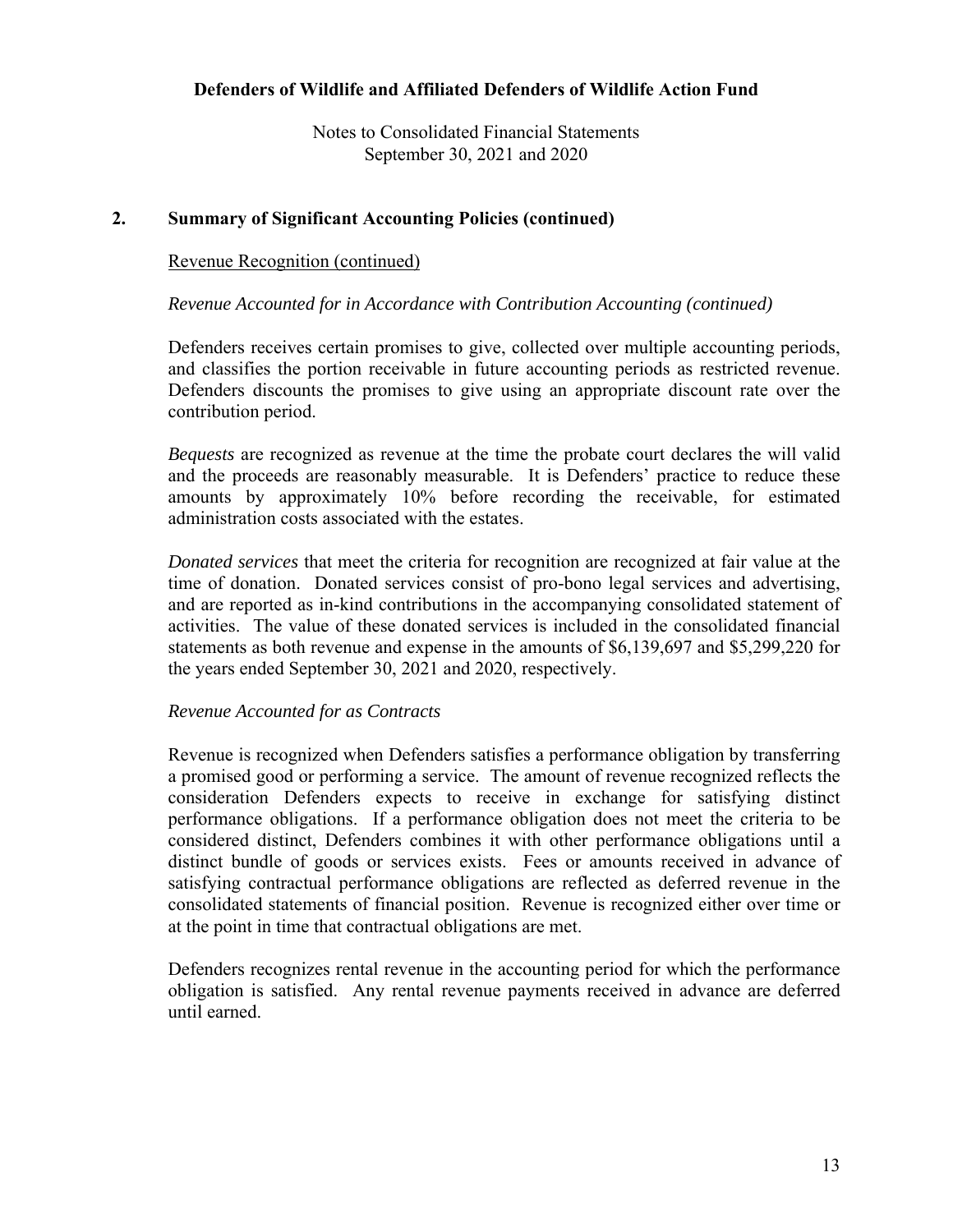Notes to Consolidated Financial Statements September 30, 2021 and 2020

## **2. Summary of Significant Accounting Policies (continued)**

## Revenue Recognition (continued)

### *Revenue Accounted for in Accordance with Contribution Accounting (continued)*

Defenders receives certain promises to give, collected over multiple accounting periods, and classifies the portion receivable in future accounting periods as restricted revenue. Defenders discounts the promises to give using an appropriate discount rate over the contribution period.

*Bequests* are recognized as revenue at the time the probate court declares the will valid and the proceeds are reasonably measurable. It is Defenders' practice to reduce these amounts by approximately 10% before recording the receivable, for estimated administration costs associated with the estates.

*Donated services* that meet the criteria for recognition are recognized at fair value at the time of donation. Donated services consist of pro-bono legal services and advertising, and are reported as in-kind contributions in the accompanying consolidated statement of activities. The value of these donated services is included in the consolidated financial statements as both revenue and expense in the amounts of \$6,139,697 and \$5,299,220 for the years ended September 30, 2021 and 2020, respectively.

## *Revenue Accounted for as Contracts*

Revenue is recognized when Defenders satisfies a performance obligation by transferring a promised good or performing a service. The amount of revenue recognized reflects the consideration Defenders expects to receive in exchange for satisfying distinct performance obligations. If a performance obligation does not meet the criteria to be considered distinct, Defenders combines it with other performance obligations until a distinct bundle of goods or services exists. Fees or amounts received in advance of satisfying contractual performance obligations are reflected as deferred revenue in the consolidated statements of financial position. Revenue is recognized either over time or at the point in time that contractual obligations are met.

Defenders recognizes rental revenue in the accounting period for which the performance obligation is satisfied. Any rental revenue payments received in advance are deferred until earned.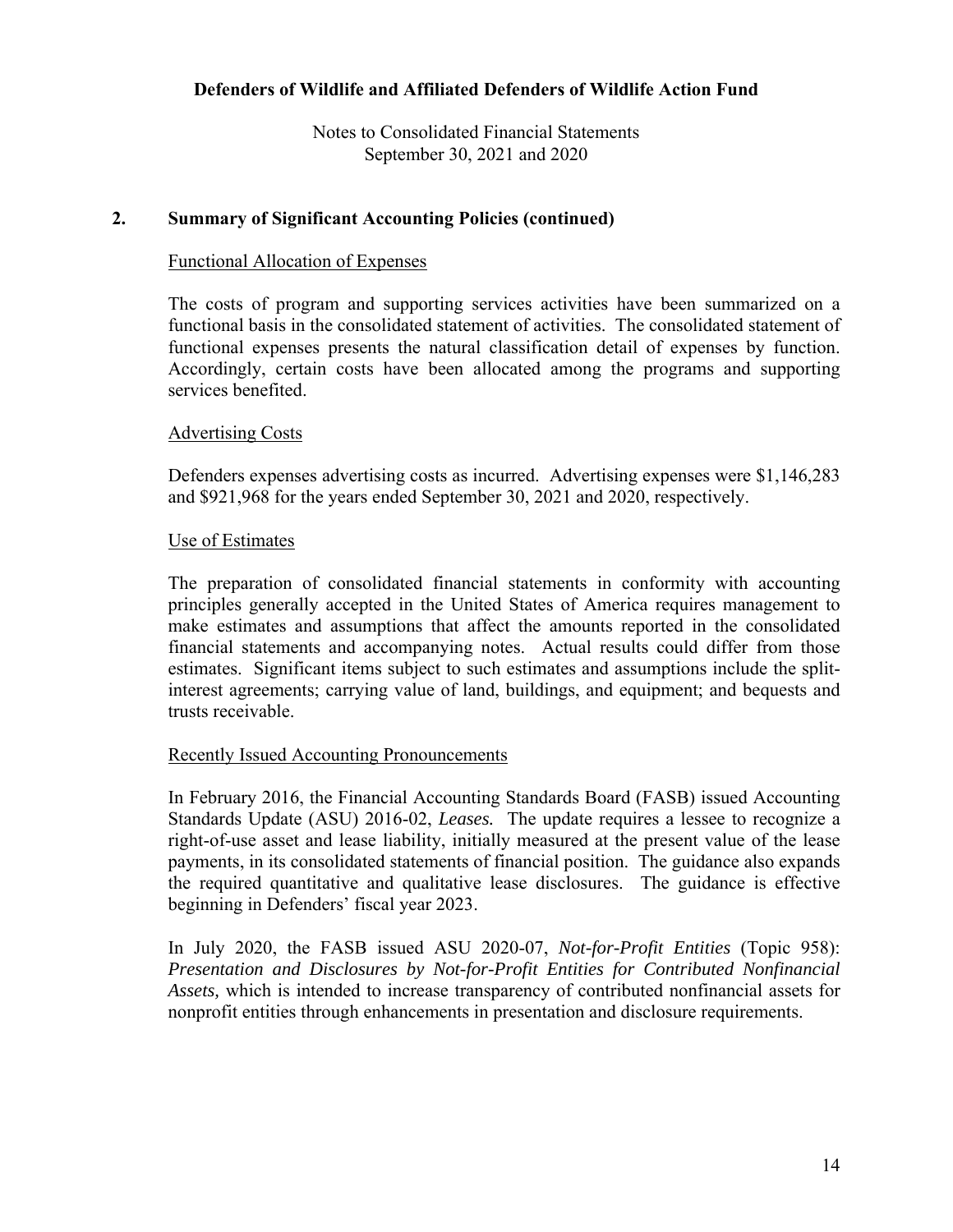Notes to Consolidated Financial Statements September 30, 2021 and 2020

## **2. Summary of Significant Accounting Policies (continued)**

#### Functional Allocation of Expenses

The costs of program and supporting services activities have been summarized on a functional basis in the consolidated statement of activities. The consolidated statement of functional expenses presents the natural classification detail of expenses by function. Accordingly, certain costs have been allocated among the programs and supporting services benefited.

### Advertising Costs

Defenders expenses advertising costs as incurred. Advertising expenses were \$1,146,283 and \$921,968 for the years ended September 30, 2021 and 2020, respectively.

### Use of Estimates

The preparation of consolidated financial statements in conformity with accounting principles generally accepted in the United States of America requires management to make estimates and assumptions that affect the amounts reported in the consolidated financial statements and accompanying notes. Actual results could differ from those estimates. Significant items subject to such estimates and assumptions include the splitinterest agreements; carrying value of land, buildings, and equipment; and bequests and trusts receivable.

#### Recently Issued Accounting Pronouncements

In February 2016, the Financial Accounting Standards Board (FASB) issued Accounting Standards Update (ASU) 2016-02, *Leases.* The update requires a lessee to recognize a right-of-use asset and lease liability, initially measured at the present value of the lease payments, in its consolidated statements of financial position. The guidance also expands the required quantitative and qualitative lease disclosures. The guidance is effective beginning in Defenders' fiscal year 2023.

In July 2020, the FASB issued ASU 2020-07, *Not-for-Profit Entities* (Topic 958): *Presentation and Disclosures by Not-for-Profit Entities for Contributed Nonfinancial Assets,* which is intended to increase transparency of contributed nonfinancial assets for nonprofit entities through enhancements in presentation and disclosure requirements.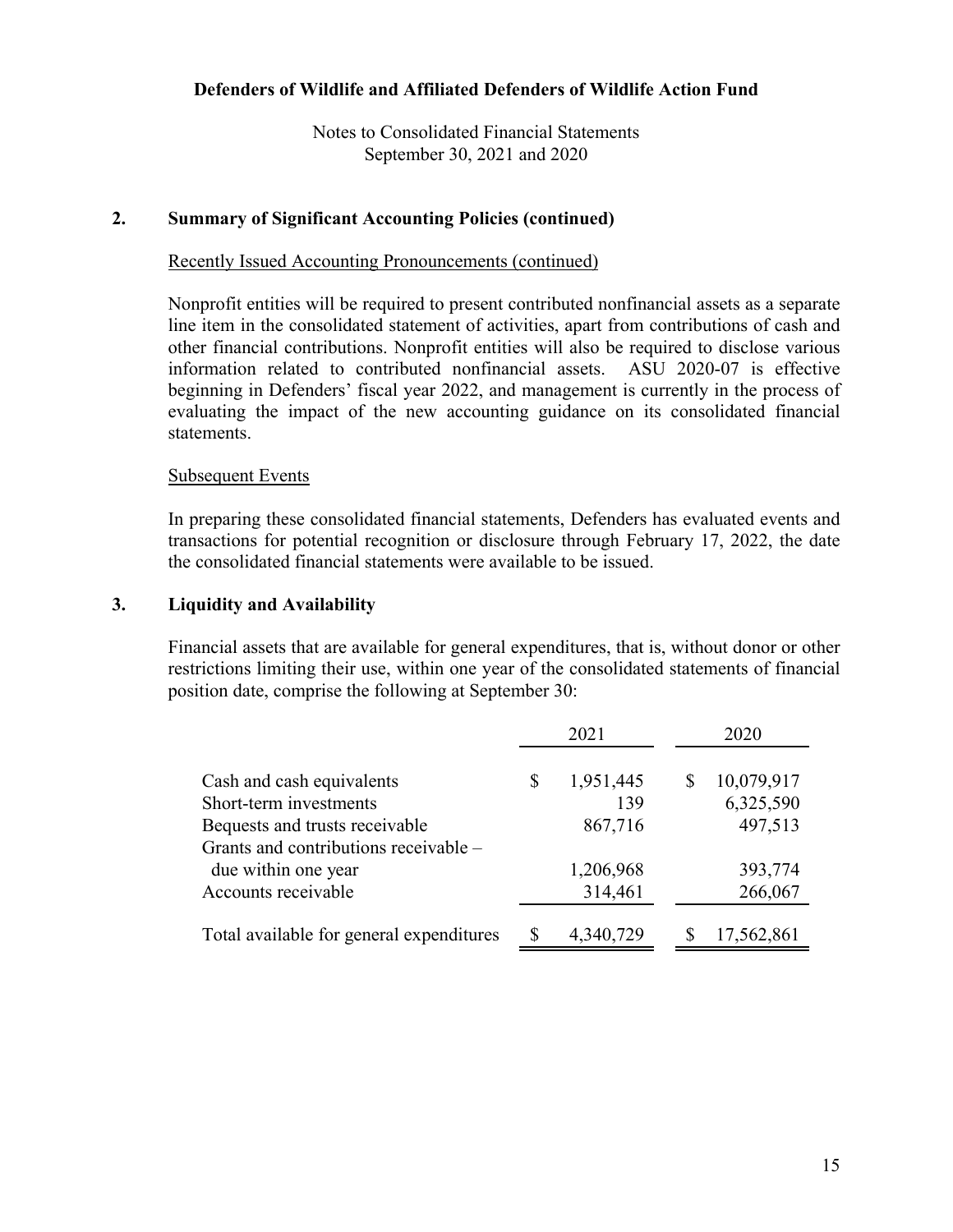Notes to Consolidated Financial Statements September 30, 2021 and 2020

## **2. Summary of Significant Accounting Policies (continued)**

#### Recently Issued Accounting Pronouncements (continued)

Nonprofit entities will be required to present contributed nonfinancial assets as a separate line item in the consolidated statement of activities, apart from contributions of cash and other financial contributions. Nonprofit entities will also be required to disclose various information related to contributed nonfinancial assets. ASU 2020-07 is effective beginning in Defenders' fiscal year 2022, and management is currently in the process of evaluating the impact of the new accounting guidance on its consolidated financial statements.

### Subsequent Events

In preparing these consolidated financial statements, Defenders has evaluated events and transactions for potential recognition or disclosure through February 17, 2022, the date the consolidated financial statements were available to be issued.

### **3. Liquidity and Availability**

Financial assets that are available for general expenditures, that is, without donor or other restrictions limiting their use, within one year of the consolidated statements of financial position date, comprise the following at September 30:

|                                          |   | 2021      |     | 2020       |
|------------------------------------------|---|-----------|-----|------------|
|                                          |   |           |     |            |
| Cash and cash equivalents                | S | 1,951,445 | \$. | 10,079,917 |
| Short-term investments                   |   | 139       |     | 6,325,590  |
| Bequests and trusts receivable           |   | 867,716   |     | 497,513    |
| Grants and contributions receivable –    |   |           |     |            |
| due within one year                      |   | 1,206,968 |     | 393,774    |
| Accounts receivable                      |   | 314,461   |     | 266,067    |
|                                          |   |           |     |            |
| Total available for general expenditures |   | 4,340,729 |     | 17,562,861 |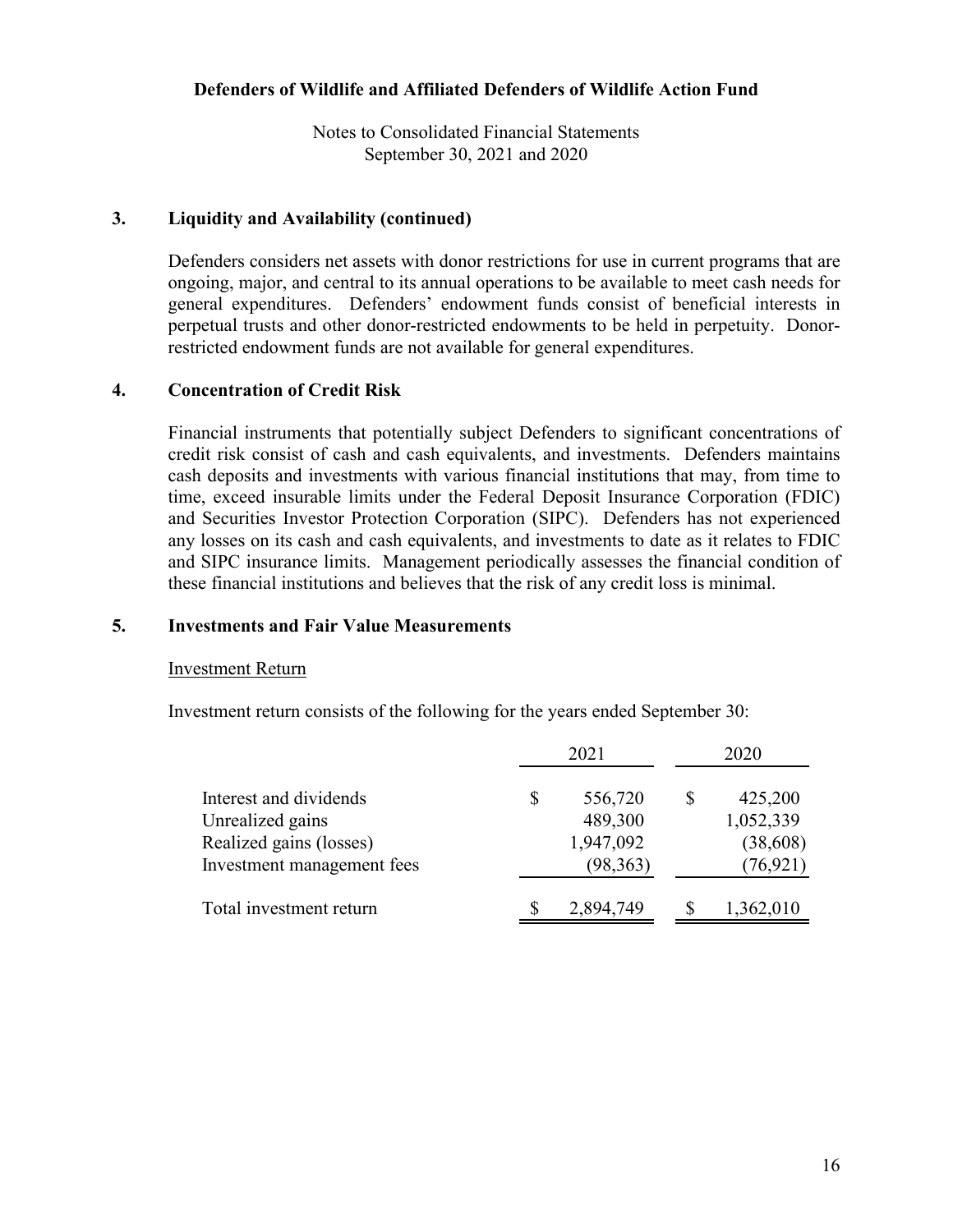Notes to Consolidated Financial Statements September 30, 2021 and 2020

## **3. Liquidity and Availability (continued)**

Defenders considers net assets with donor restrictions for use in current programs that are ongoing, major, and central to its annual operations to be available to meet cash needs for general expenditures. Defenders' endowment funds consist of beneficial interests in perpetual trusts and other donor-restricted endowments to be held in perpetuity. Donorrestricted endowment funds are not available for general expenditures.

## **4. Concentration of Credit Risk**

Financial instruments that potentially subject Defenders to significant concentrations of credit risk consist of cash and cash equivalents, and investments. Defenders maintains cash deposits and investments with various financial institutions that may, from time to time, exceed insurable limits under the Federal Deposit Insurance Corporation (FDIC) and Securities Investor Protection Corporation (SIPC). Defenders has not experienced any losses on its cash and cash equivalents, and investments to date as it relates to FDIC and SIPC insurance limits. Management periodically assesses the financial condition of these financial institutions and believes that the risk of any credit loss is minimal.

## **5. Investments and Fair Value Measurements**

#### Investment Return

Investment return consists of the following for the years ended September 30:

|                            |  | 2021      | 2020 |           |  |
|----------------------------|--|-----------|------|-----------|--|
| Interest and dividends     |  | 556,720   | S    | 425,200   |  |
| Unrealized gains           |  | 489,300   |      | 1,052,339 |  |
| Realized gains (losses)    |  | 1,947,092 |      | (38,608)  |  |
| Investment management fees |  | (98, 363) |      | (76, 921) |  |
| Total investment return    |  | 2,894,749 |      | 1,362,010 |  |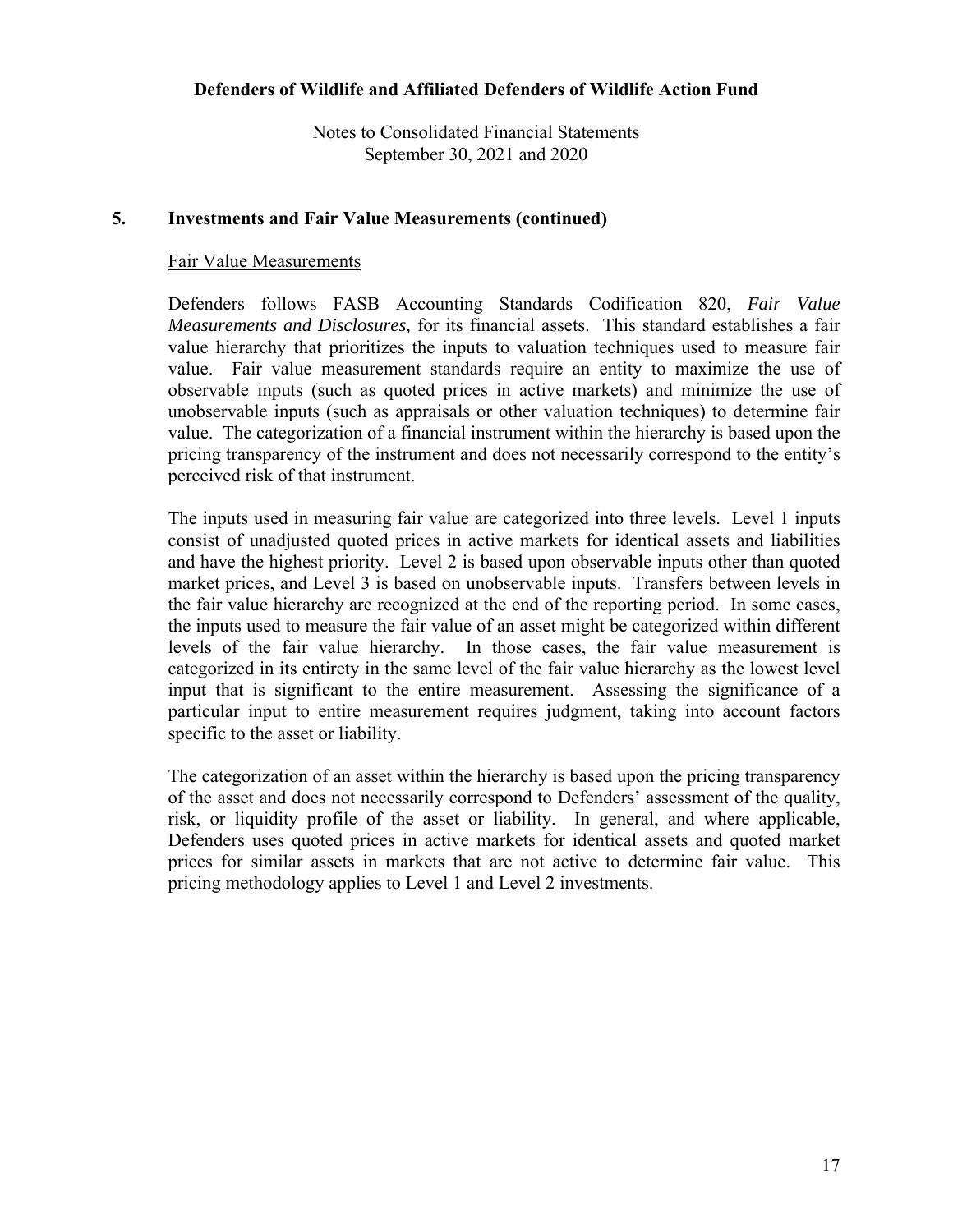Notes to Consolidated Financial Statements September 30, 2021 and 2020

## **5. Investments and Fair Value Measurements (continued)**

### Fair Value Measurements

Defenders follows FASB Accounting Standards Codification 820, *Fair Value Measurements and Disclosures,* for its financial assets. This standard establishes a fair value hierarchy that prioritizes the inputs to valuation techniques used to measure fair value. Fair value measurement standards require an entity to maximize the use of observable inputs (such as quoted prices in active markets) and minimize the use of unobservable inputs (such as appraisals or other valuation techniques) to determine fair value. The categorization of a financial instrument within the hierarchy is based upon the pricing transparency of the instrument and does not necessarily correspond to the entity's perceived risk of that instrument.

The inputs used in measuring fair value are categorized into three levels. Level 1 inputs consist of unadjusted quoted prices in active markets for identical assets and liabilities and have the highest priority. Level 2 is based upon observable inputs other than quoted market prices, and Level 3 is based on unobservable inputs. Transfers between levels in the fair value hierarchy are recognized at the end of the reporting period. In some cases, the inputs used to measure the fair value of an asset might be categorized within different levels of the fair value hierarchy. In those cases, the fair value measurement is categorized in its entirety in the same level of the fair value hierarchy as the lowest level input that is significant to the entire measurement. Assessing the significance of a particular input to entire measurement requires judgment, taking into account factors specific to the asset or liability.

The categorization of an asset within the hierarchy is based upon the pricing transparency of the asset and does not necessarily correspond to Defenders' assessment of the quality, risk, or liquidity profile of the asset or liability. In general, and where applicable, Defenders uses quoted prices in active markets for identical assets and quoted market prices for similar assets in markets that are not active to determine fair value. This pricing methodology applies to Level 1 and Level 2 investments.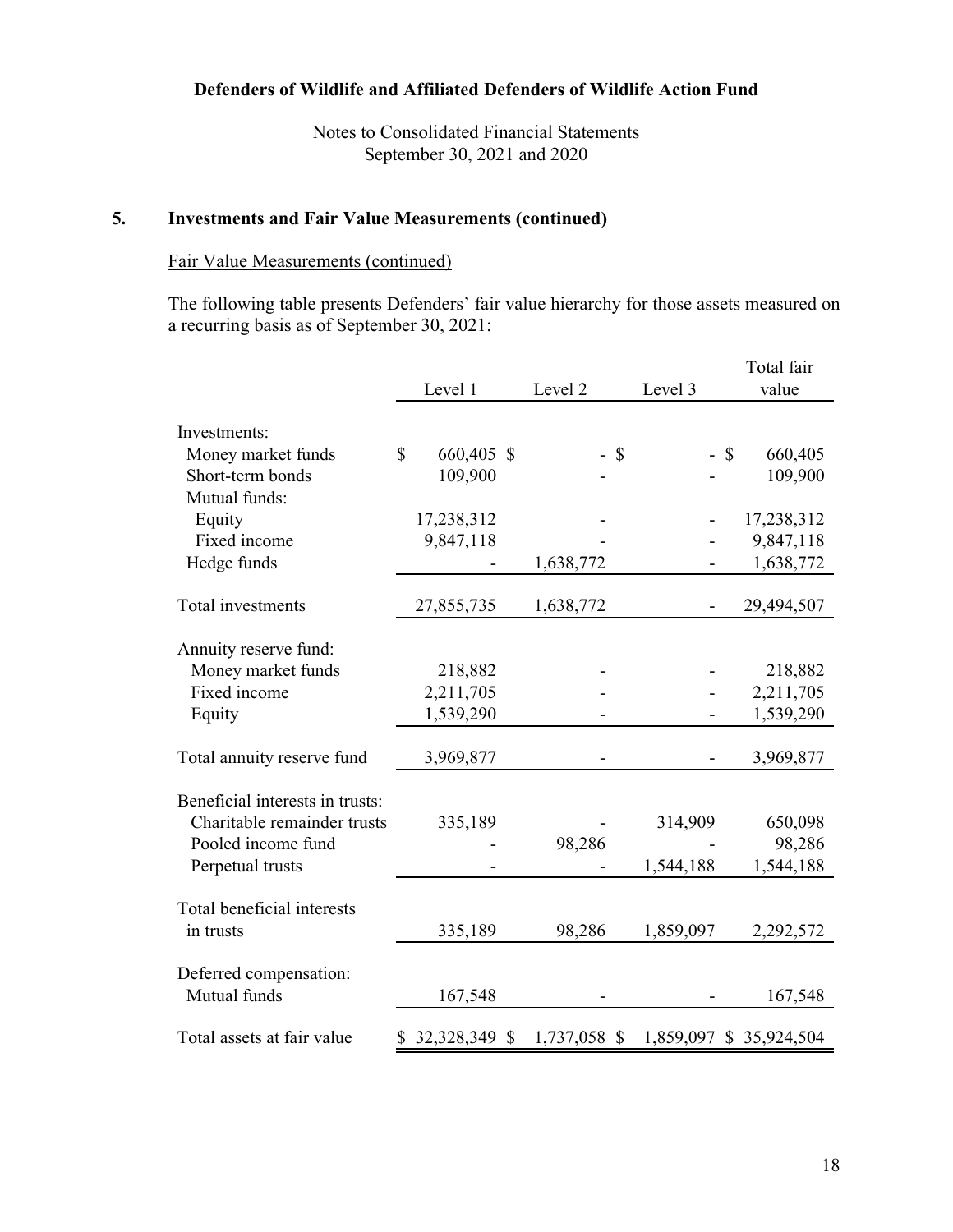Notes to Consolidated Financial Statements September 30, 2021 and 2020

## **5. Investments and Fair Value Measurements (continued)**

## Fair Value Measurements (continued)

The following table presents Defenders' fair value hierarchy for those assets measured on a recurring basis as of September 30, 2021:

|                                 |              | Level 1       | Level 2        | Level 3   | Total fair<br>value     |
|---------------------------------|--------------|---------------|----------------|-----------|-------------------------|
| Investments:                    |              |               |                |           |                         |
| Money market funds              | $\mathbb{S}$ | 660,405 \$    | $-$ \$         | - \$      | 660,405                 |
| Short-term bonds                |              | 109,900       |                |           | 109,900                 |
| Mutual funds:                   |              |               |                |           |                         |
| Equity                          |              | 17,238,312    |                |           | 17,238,312              |
| Fixed income                    |              | 9,847,118     |                |           | 9,847,118               |
| Hedge funds                     |              |               | 1,638,772      |           | 1,638,772               |
| Total investments               |              | 27,855,735    | 1,638,772      |           | 29,494,507              |
|                                 |              |               |                |           |                         |
| Annuity reserve fund:           |              |               |                |           |                         |
| Money market funds              |              | 218,882       |                |           | 218,882                 |
| Fixed income                    |              | 2,211,705     |                |           | 2,211,705               |
| Equity                          |              | 1,539,290     |                |           | 1,539,290               |
| Total annuity reserve fund      |              | 3,969,877     |                |           | 3,969,877               |
| Beneficial interests in trusts: |              |               |                |           |                         |
| Charitable remainder trusts     |              | 335,189       |                | 314,909   | 650,098                 |
| Pooled income fund              |              |               | 98,286         |           | 98,286                  |
| Perpetual trusts                |              |               |                | 1,544,188 | 1,544,188               |
| Total beneficial interests      |              |               |                |           |                         |
| in trusts                       |              | 335,189       | 98,286         | 1,859,097 | 2,292,572               |
|                                 |              |               |                |           |                         |
| Deferred compensation:          |              |               |                |           |                         |
| Mutual funds                    |              | 167,548       |                |           | 167,548                 |
| Total assets at fair value      | S            | 32,328,349 \$ | $1,737,058$ \$ |           | 1,859,097 \$ 35,924,504 |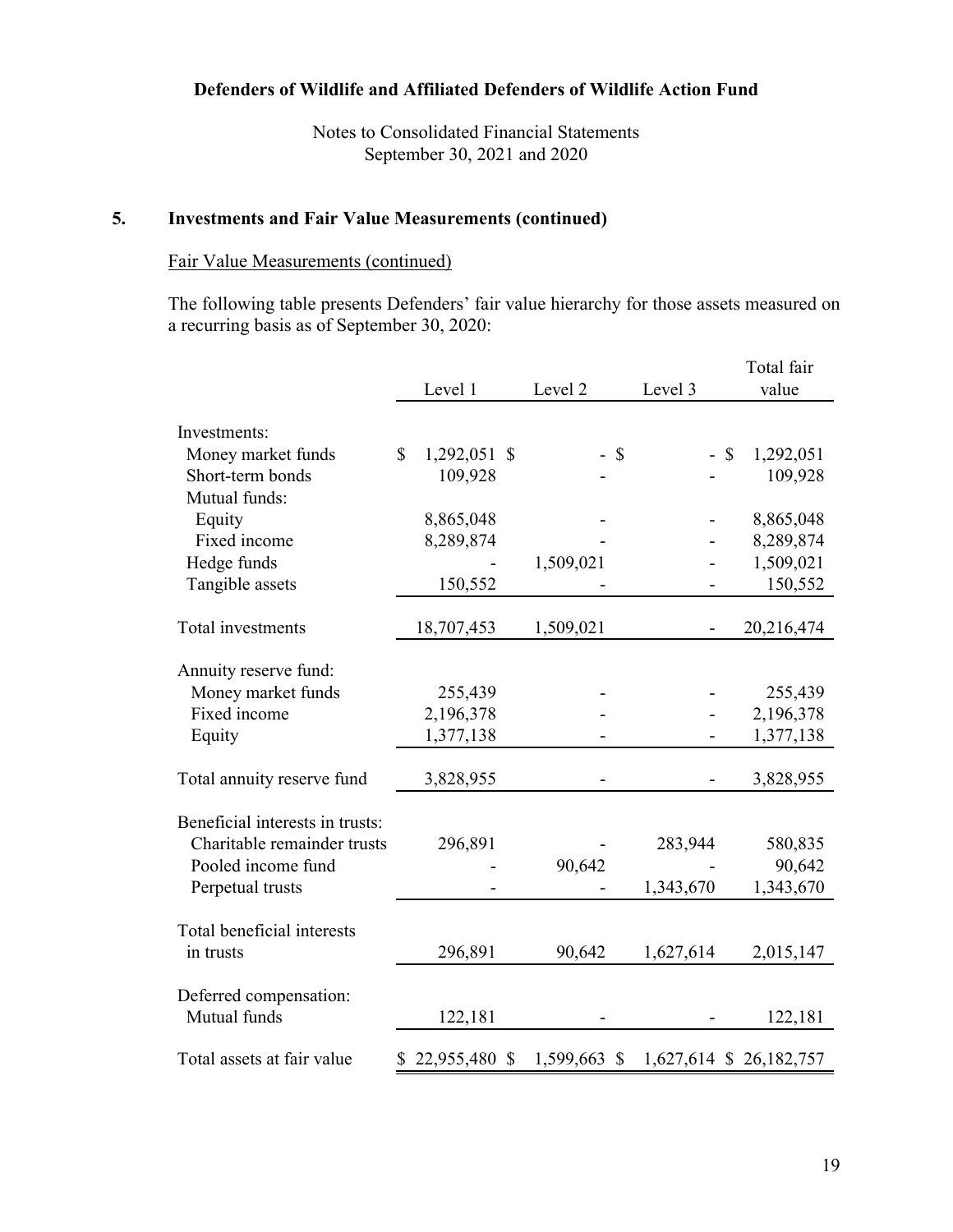Notes to Consolidated Financial Statements September 30, 2021 and 2020

## **5. Investments and Fair Value Measurements (continued)**

## Fair Value Measurements (continued)

The following table presents Defenders' fair value hierarchy for those assets measured on a recurring basis as of September 30, 2020:

|                                 |    | Level 1       | Level 2      | Level 3   |               | Total fair<br>value     |
|---------------------------------|----|---------------|--------------|-----------|---------------|-------------------------|
| Investments:                    |    |               |              |           |               |                         |
| Money market funds              | \$ | 1,292,051 \$  | $-$ \$       |           | $\mathcal{S}$ | 1,292,051               |
| Short-term bonds                |    | 109,928       |              |           |               | 109,928                 |
| Mutual funds:                   |    |               |              |           |               |                         |
| Equity                          |    | 8,865,048     |              |           |               | 8,865,048               |
| Fixed income                    |    | 8,289,874     |              |           |               | 8,289,874               |
| Hedge funds                     |    |               | 1,509,021    |           |               | 1,509,021               |
| Tangible assets                 |    | 150,552       |              |           |               | 150,552                 |
|                                 |    |               |              |           |               |                         |
| Total investments               |    | 18,707,453    | 1,509,021    |           |               | 20,216,474              |
| Annuity reserve fund:           |    |               |              |           |               |                         |
| Money market funds              |    | 255,439       |              |           |               | 255,439                 |
| Fixed income                    |    | 2,196,378     |              |           |               | 2,196,378               |
| Equity                          |    | 1,377,138     |              |           |               | 1,377,138               |
|                                 |    |               |              |           |               |                         |
| Total annuity reserve fund      |    | 3,828,955     |              |           |               | 3,828,955               |
| Beneficial interests in trusts: |    |               |              |           |               |                         |
| Charitable remainder trusts     |    |               |              |           |               |                         |
| Pooled income fund              |    | 296,891       | 90,642       | 283,944   |               | 580,835<br>90,642       |
| Perpetual trusts                |    |               |              | 1,343,670 |               | 1,343,670               |
|                                 |    |               |              |           |               |                         |
| Total beneficial interests      |    |               |              |           |               |                         |
| in trusts                       |    | 296,891       | 90,642       | 1,627,614 |               | 2,015,147               |
| Deferred compensation:          |    |               |              |           |               |                         |
| Mutual funds                    |    | 122,181       |              |           |               | 122,181                 |
| Total assets at fair value      | S. | 22,955,480 \$ | 1,599,663 \$ |           |               | 1,627,614 \$ 26,182,757 |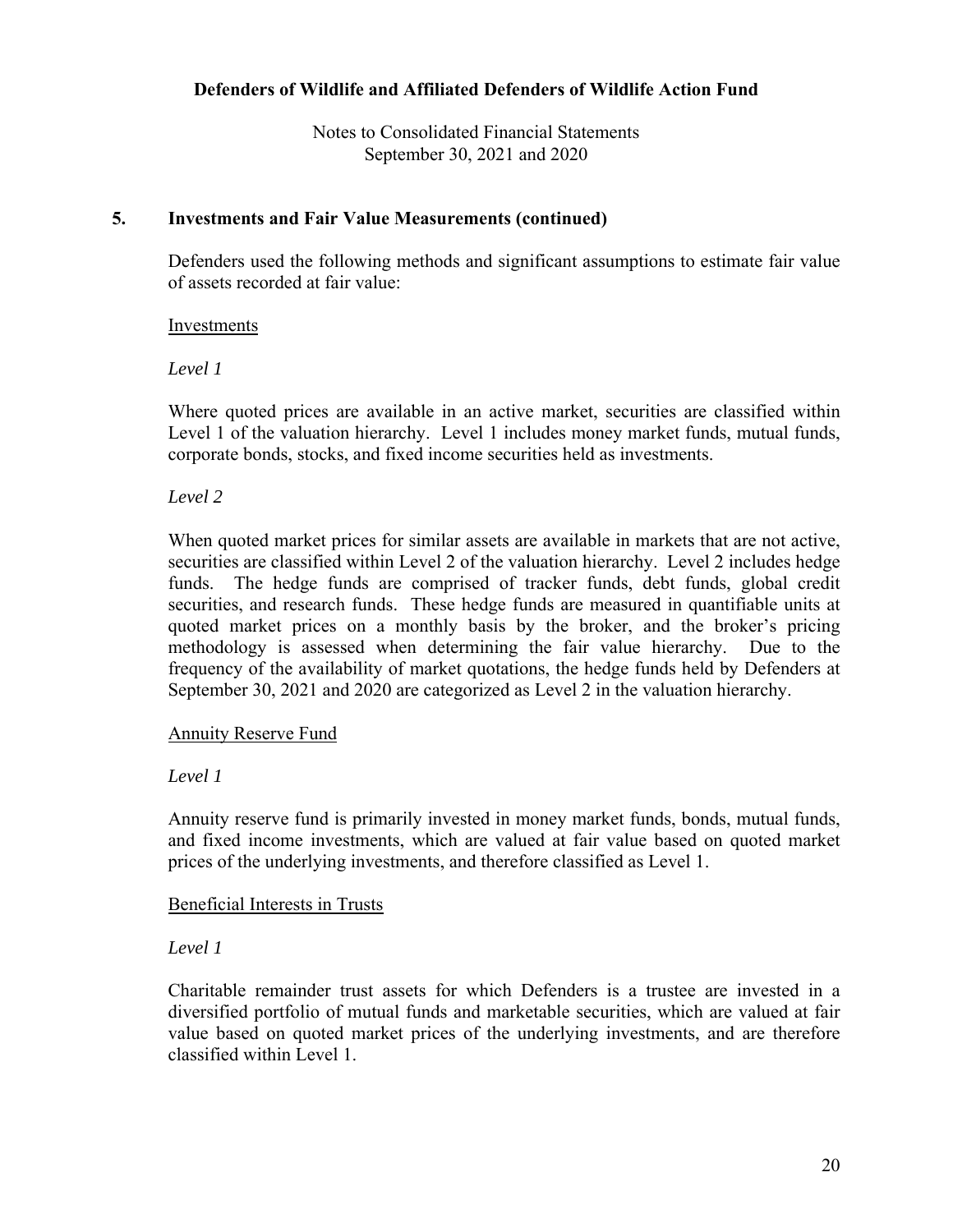Notes to Consolidated Financial Statements September 30, 2021 and 2020

## **5. Investments and Fair Value Measurements (continued)**

Defenders used the following methods and significant assumptions to estimate fair value of assets recorded at fair value:

### Investments

### *Level 1*

Where quoted prices are available in an active market, securities are classified within Level 1 of the valuation hierarchy. Level 1 includes money market funds, mutual funds, corporate bonds, stocks, and fixed income securities held as investments.

## *Level 2*

When quoted market prices for similar assets are available in markets that are not active, securities are classified within Level 2 of the valuation hierarchy. Level 2 includes hedge funds. The hedge funds are comprised of tracker funds, debt funds, global credit securities, and research funds. These hedge funds are measured in quantifiable units at quoted market prices on a monthly basis by the broker, and the broker's pricing methodology is assessed when determining the fair value hierarchy. Due to the frequency of the availability of market quotations, the hedge funds held by Defenders at September 30, 2021 and 2020 are categorized as Level 2 in the valuation hierarchy.

#### Annuity Reserve Fund

## *Level 1*

Annuity reserve fund is primarily invested in money market funds, bonds, mutual funds, and fixed income investments, which are valued at fair value based on quoted market prices of the underlying investments, and therefore classified as Level 1.

#### Beneficial Interests in Trusts

## *Level 1*

Charitable remainder trust assets for which Defenders is a trustee are invested in a diversified portfolio of mutual funds and marketable securities, which are valued at fair value based on quoted market prices of the underlying investments, and are therefore classified within Level 1.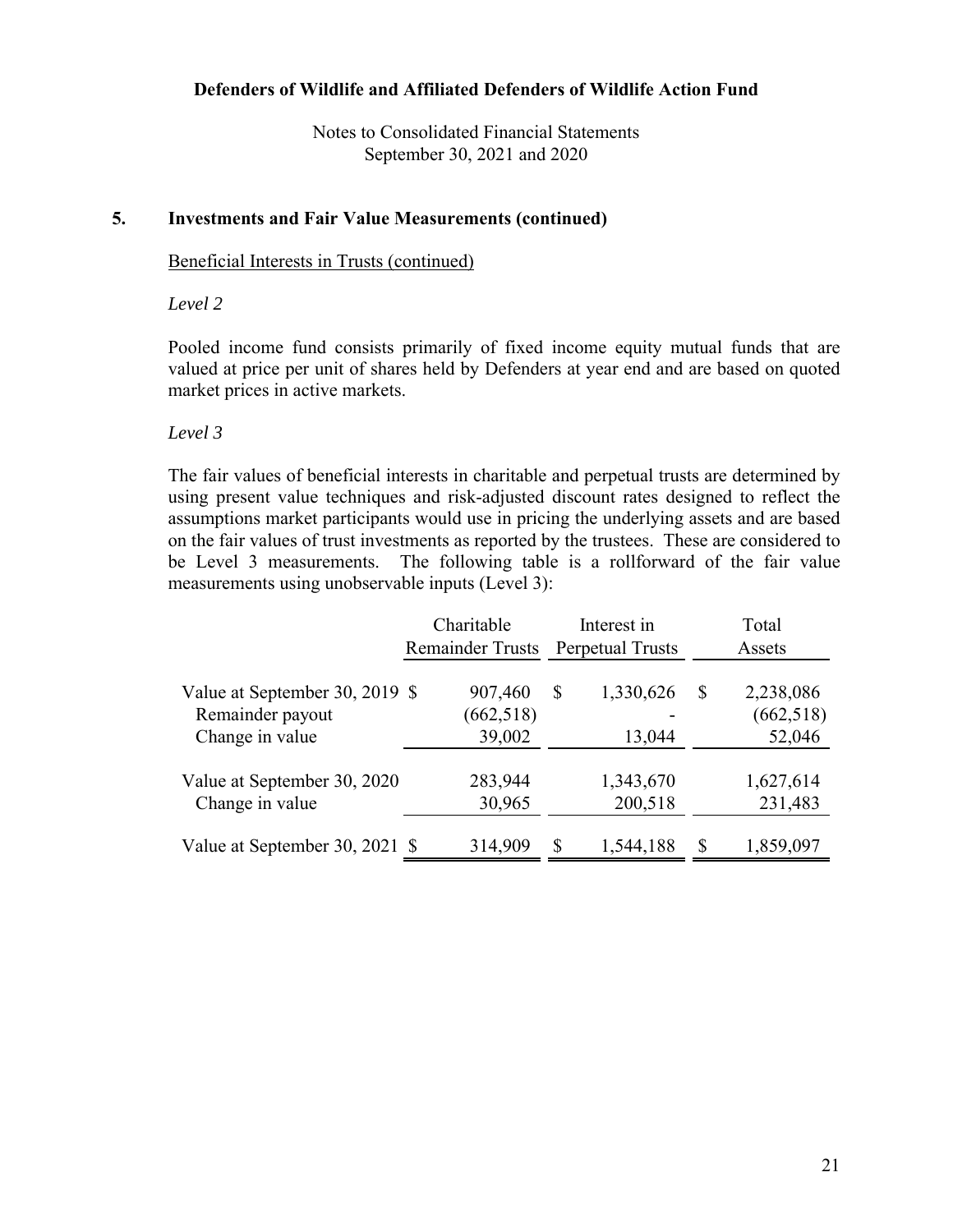Notes to Consolidated Financial Statements September 30, 2021 and 2020

## **5. Investments and Fair Value Measurements (continued)**

#### Beneficial Interests in Trusts (continued)

### *Level 2*

Pooled income fund consists primarily of fixed income equity mutual funds that are valued at price per unit of shares held by Defenders at year end and are based on quoted market prices in active markets.

### *Level 3*

The fair values of beneficial interests in charitable and perpetual trusts are determined by using present value techniques and risk-adjusted discount rates designed to reflect the assumptions market participants would use in pricing the underlying assets and are based on the fair values of trust investments as reported by the trustees. These are considered to be Level 3 measurements. The following table is a rollforward of the fair value measurements using unobservable inputs (Level 3):

|                                                                       | Charitable<br><b>Remainder Trusts</b> |   | Interest in<br><b>Perpetual Trusts</b> |    | Total<br>Assets                   |
|-----------------------------------------------------------------------|---------------------------------------|---|----------------------------------------|----|-----------------------------------|
| Value at September 30, 2019 \$<br>Remainder payout<br>Change in value | 907,460<br>(662, 518)<br>39,002       | S | 1,330,626<br>13,044                    | \$ | 2,238,086<br>(662, 518)<br>52,046 |
| Value at September 30, 2020<br>Change in value                        | 283,944<br>30,965                     |   | 1,343,670<br>200,518                   |    | 1,627,614<br>231,483              |
| Value at September 30, 2021 \$                                        | 314,909                               | S | 1,544,188                              | S  | 1,859,097                         |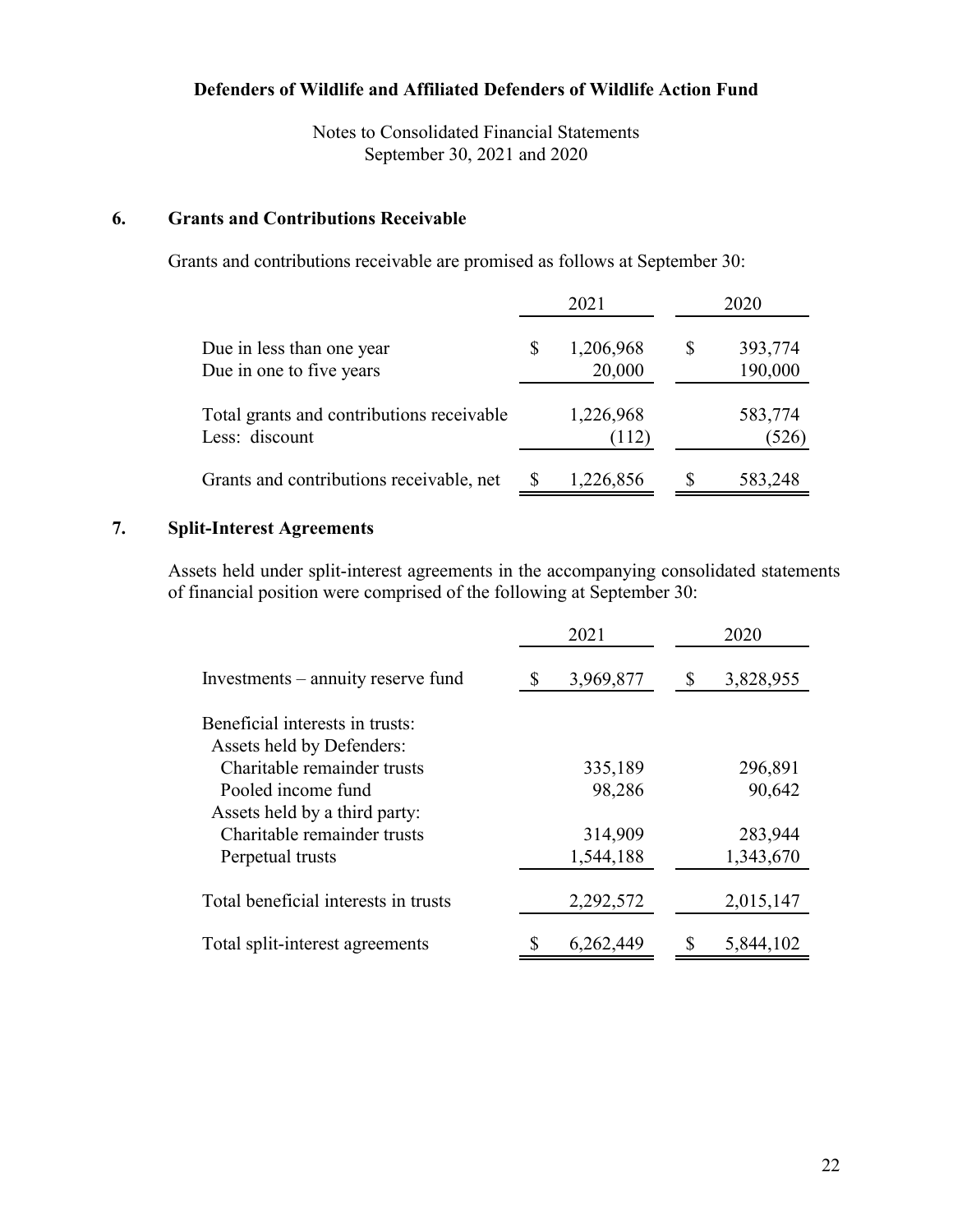Notes to Consolidated Financial Statements September 30, 2021 and 2020

## **6. Grants and Contributions Receivable**

Grants and contributions receivable are promised as follows at September 30:

|                                                             |  | 2021                |    | 2020               |
|-------------------------------------------------------------|--|---------------------|----|--------------------|
| Due in less than one year<br>Due in one to five years       |  | 1,206,968<br>20,000 | \$ | 393,774<br>190,000 |
| Total grants and contributions receivable<br>Less: discount |  | 1,226,968<br>(112)  |    | 583,774<br>(526)   |
| Grants and contributions receivable, net                    |  | 1,226,856           | S  | 583,248            |

## **7. Split-Interest Agreements**

Assets held under split-interest agreements in the accompanying consolidated statements of financial position were comprised of the following at September 30:

|                                      | 2021      |   | 2020      |  |  |
|--------------------------------------|-----------|---|-----------|--|--|
| Investments – annuity reserve fund   | 3,969,877 | S | 3,828,955 |  |  |
| Beneficial interests in trusts:      |           |   |           |  |  |
| Assets held by Defenders:            |           |   |           |  |  |
| Charitable remainder trusts          | 335,189   |   | 296,891   |  |  |
| Pooled income fund                   | 98,286    |   | 90,642    |  |  |
| Assets held by a third party:        |           |   |           |  |  |
| Charitable remainder trusts          | 314,909   |   | 283,944   |  |  |
| Perpetual trusts                     | 1,544,188 |   | 1,343,670 |  |  |
|                                      |           |   |           |  |  |
| Total beneficial interests in trusts | 2,292,572 |   | 2,015,147 |  |  |
| Total split-interest agreements      | 6,262,449 |   | 5,844,102 |  |  |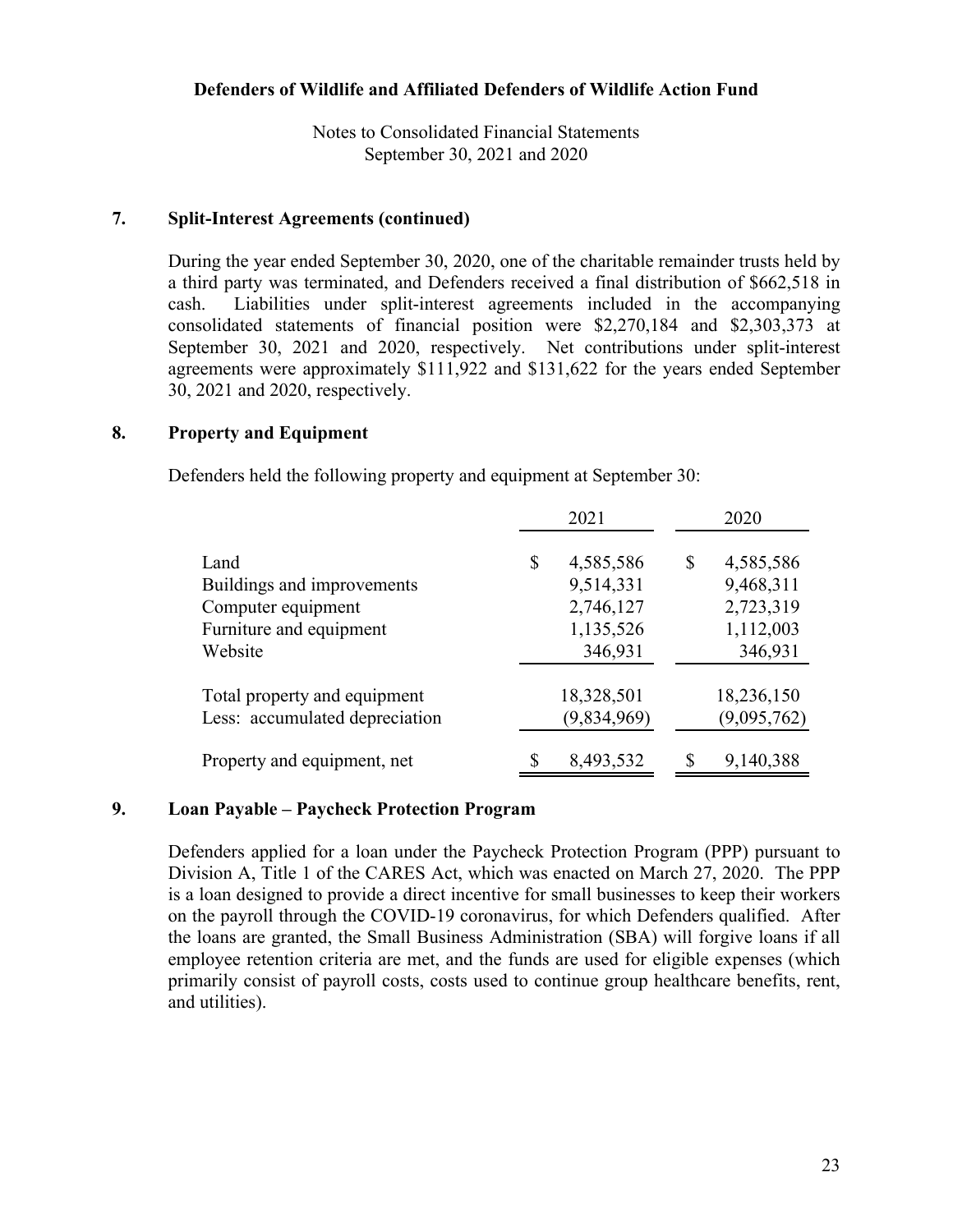Notes to Consolidated Financial Statements September 30, 2021 and 2020

## **7. Split-Interest Agreements (continued)**

During the year ended September 30, 2020, one of the charitable remainder trusts held by a third party was terminated, and Defenders received a final distribution of \$662,518 in cash. Liabilities under split-interest agreements included in the accompanying consolidated statements of financial position were \$2,270,184 and \$2,303,373 at September 30, 2021 and 2020, respectively. Net contributions under split-interest agreements were approximately \$111,922 and \$131,622 for the years ended September 30, 2021 and 2020, respectively.

## **8. Property and Equipment**

Defenders held the following property and equipment at September 30:

|                                | 2021            | 2020            |
|--------------------------------|-----------------|-----------------|
| Land                           | \$<br>4,585,586 | \$<br>4,585,586 |
| Buildings and improvements     | 9,514,331       | 9,468,311       |
| Computer equipment             | 2,746,127       | 2,723,319       |
| Furniture and equipment        | 1,135,526       | 1,112,003       |
| Website                        | 346,931         | 346,931         |
| Total property and equipment   | 18,328,501      | 18,236,150      |
| Less: accumulated depreciation | (9,834,969)     | (9,095,762)     |
| Property and equipment, net    | 8,493,532       | \$<br>9,140,388 |

## **9. Loan Payable – Paycheck Protection Program**

Defenders applied for a loan under the Paycheck Protection Program (PPP) pursuant to Division A, Title 1 of the CARES Act, which was enacted on March 27, 2020. The PPP is a loan designed to provide a direct incentive for small businesses to keep their workers on the payroll through the COVID-19 coronavirus, for which Defenders qualified. After the loans are granted, the Small Business Administration (SBA) will forgive loans if all employee retention criteria are met, and the funds are used for eligible expenses (which primarily consist of payroll costs, costs used to continue group healthcare benefits, rent, and utilities).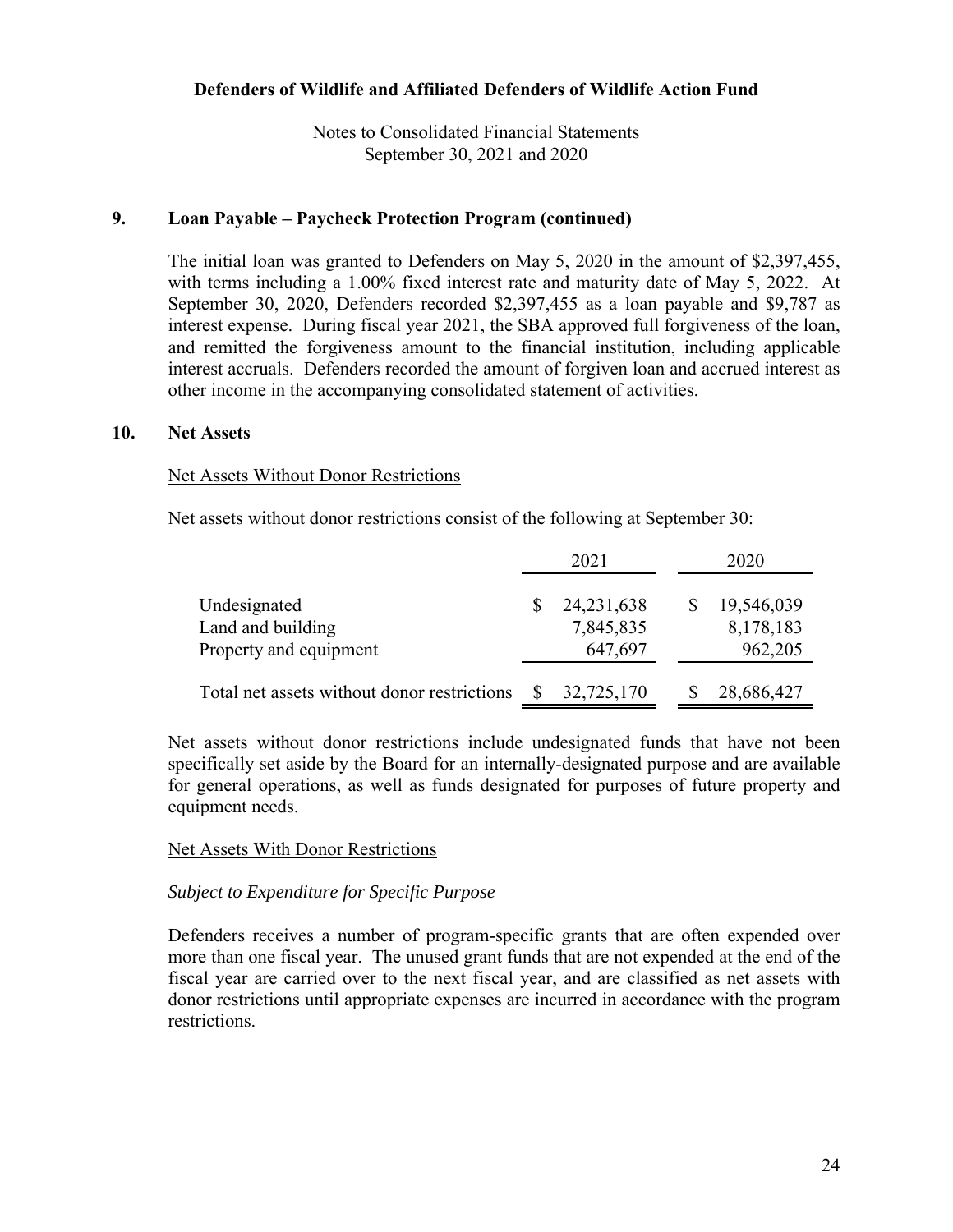Notes to Consolidated Financial Statements September 30, 2021 and 2020

## **9. Loan Payable – Paycheck Protection Program (continued)**

The initial loan was granted to Defenders on May 5, 2020 in the amount of \$2,397,455, with terms including a 1.00% fixed interest rate and maturity date of May 5, 2022. At September 30, 2020, Defenders recorded \$2,397,455 as a loan payable and \$9,787 as interest expense. During fiscal year 2021, the SBA approved full forgiveness of the loan, and remitted the forgiveness amount to the financial institution, including applicable interest accruals. Defenders recorded the amount of forgiven loan and accrued interest as other income in the accompanying consolidated statement of activities.

#### **10. Net Assets**

### Net Assets Without Donor Restrictions

Net assets without donor restrictions consist of the following at September 30:

|                                                             | 2021                                               |                                    | 2020       |
|-------------------------------------------------------------|----------------------------------------------------|------------------------------------|------------|
| Undesignated<br>Land and building<br>Property and equipment | 24, 231, 638<br>7,845,835<br>647,697<br>32,725,170 | 19,546,039<br>8,178,183<br>962,205 |            |
| Total net assets without donor restrictions                 |                                                    |                                    | 28,686,427 |

Net assets without donor restrictions include undesignated funds that have not been specifically set aside by the Board for an internally-designated purpose and are available for general operations, as well as funds designated for purposes of future property and equipment needs.

## Net Assets With Donor Restrictions

## *Subject to Expenditure for Specific Purpose*

Defenders receives a number of program-specific grants that are often expended over more than one fiscal year. The unused grant funds that are not expended at the end of the fiscal year are carried over to the next fiscal year, and are classified as net assets with donor restrictions until appropriate expenses are incurred in accordance with the program restrictions.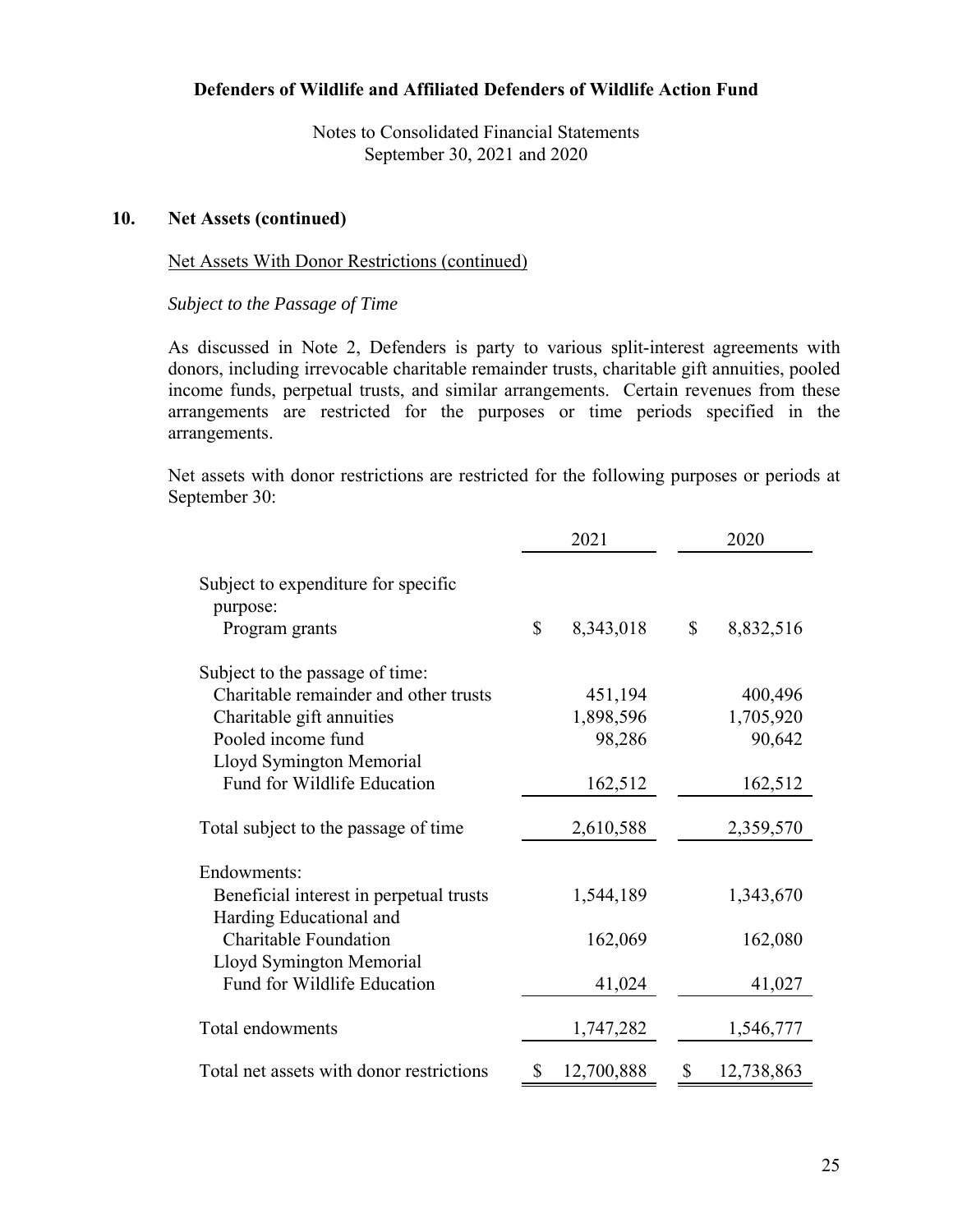Notes to Consolidated Financial Statements September 30, 2021 and 2020

### **10. Net Assets (continued)**

### Net Assets With Donor Restrictions (continued)

#### *Subject to the Passage of Time*

As discussed in Note 2, Defenders is party to various split-interest agreements with donors, including irrevocable charitable remainder trusts, charitable gift annuities, pooled income funds, perpetual trusts, and similar arrangements. Certain revenues from these arrangements are restricted for the purposes or time periods specified in the arrangements.

Net assets with donor restrictions are restricted for the following purposes or periods at September 30:

|                                                                    | 2021             |              | 2020       |  |  |
|--------------------------------------------------------------------|------------------|--------------|------------|--|--|
| Subject to expenditure for specific<br>purpose:                    | \$               | $\mathbb{S}$ |            |  |  |
| Program grants                                                     | 8,343,018        |              | 8,832,516  |  |  |
| Subject to the passage of time:                                    |                  |              |            |  |  |
| Charitable remainder and other trusts                              | 451,194          |              | 400,496    |  |  |
| Charitable gift annuities                                          | 1,898,596        |              | 1,705,920  |  |  |
| Pooled income fund                                                 | 98,286           |              | 90,642     |  |  |
| Lloyd Symington Memorial                                           |                  |              |            |  |  |
| Fund for Wildlife Education                                        | 162,512          |              | 162,512    |  |  |
| Total subject to the passage of time                               | 2,610,588        |              | 2,359,570  |  |  |
| Endowments:                                                        |                  |              |            |  |  |
| Beneficial interest in perpetual trusts<br>Harding Educational and | 1,544,189        |              | 1,343,670  |  |  |
| <b>Charitable Foundation</b>                                       | 162,069          |              | 162,080    |  |  |
| Lloyd Symington Memorial                                           |                  |              |            |  |  |
| Fund for Wildlife Education                                        | 41,024           |              | 41,027     |  |  |
| Total endowments                                                   | 1,747,282        |              | 1,546,777  |  |  |
| Total net assets with donor restrictions                           | \$<br>12,700,888 | \$           | 12,738,863 |  |  |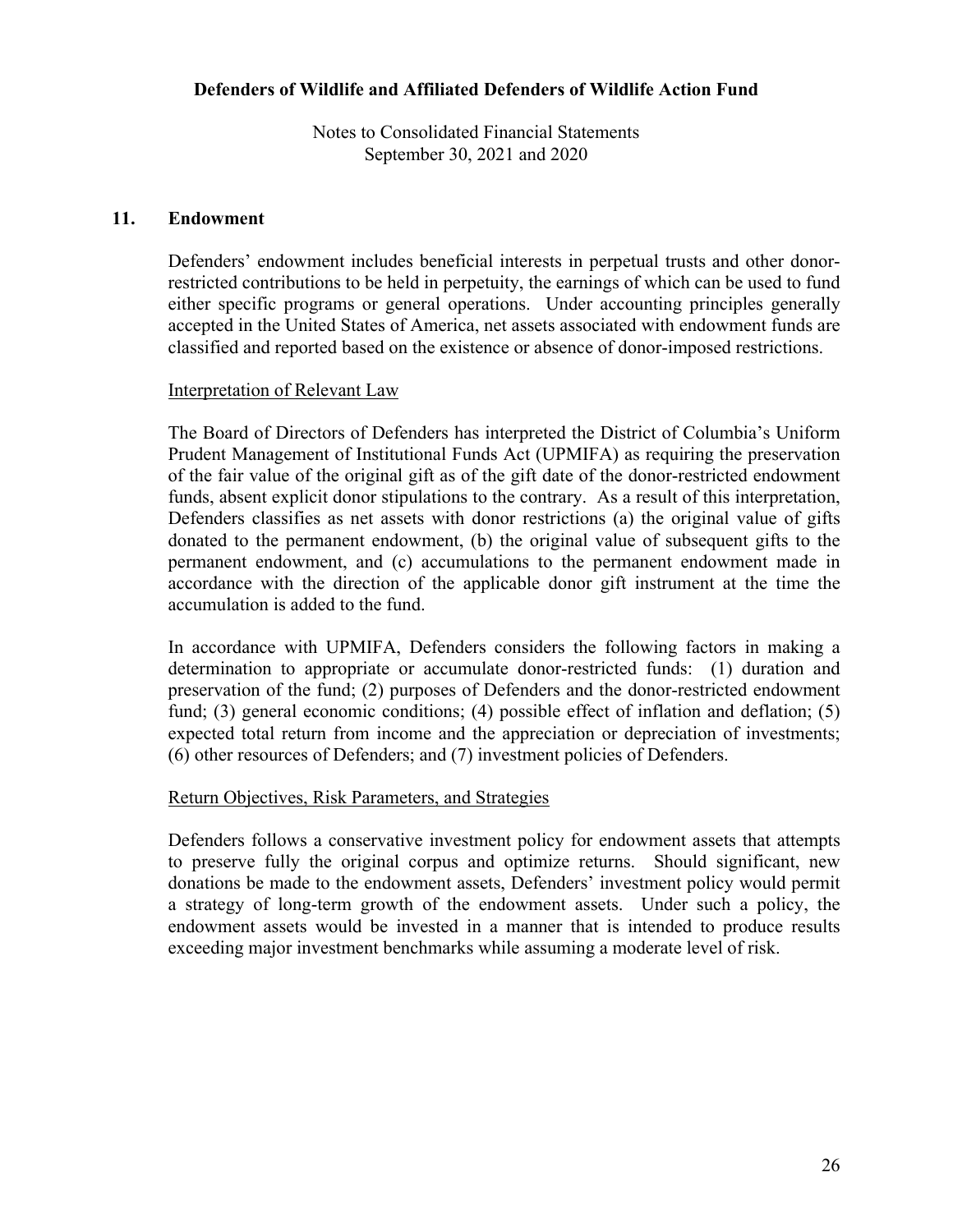Notes to Consolidated Financial Statements September 30, 2021 and 2020

### **11. Endowment**

Defenders' endowment includes beneficial interests in perpetual trusts and other donorrestricted contributions to be held in perpetuity, the earnings of which can be used to fund either specific programs or general operations. Under accounting principles generally accepted in the United States of America, net assets associated with endowment funds are classified and reported based on the existence or absence of donor-imposed restrictions.

### Interpretation of Relevant Law

The Board of Directors of Defenders has interpreted the District of Columbia's Uniform Prudent Management of Institutional Funds Act (UPMIFA) as requiring the preservation of the fair value of the original gift as of the gift date of the donor-restricted endowment funds, absent explicit donor stipulations to the contrary. As a result of this interpretation, Defenders classifies as net assets with donor restrictions (a) the original value of gifts donated to the permanent endowment, (b) the original value of subsequent gifts to the permanent endowment, and (c) accumulations to the permanent endowment made in accordance with the direction of the applicable donor gift instrument at the time the accumulation is added to the fund.

In accordance with UPMIFA, Defenders considers the following factors in making a determination to appropriate or accumulate donor-restricted funds: (1) duration and preservation of the fund; (2) purposes of Defenders and the donor-restricted endowment fund; (3) general economic conditions; (4) possible effect of inflation and deflation; (5) expected total return from income and the appreciation or depreciation of investments; (6) other resources of Defenders; and (7) investment policies of Defenders.

## Return Objectives, Risk Parameters, and Strategies

Defenders follows a conservative investment policy for endowment assets that attempts to preserve fully the original corpus and optimize returns. Should significant, new donations be made to the endowment assets, Defenders' investment policy would permit a strategy of long-term growth of the endowment assets. Under such a policy, the endowment assets would be invested in a manner that is intended to produce results exceeding major investment benchmarks while assuming a moderate level of risk.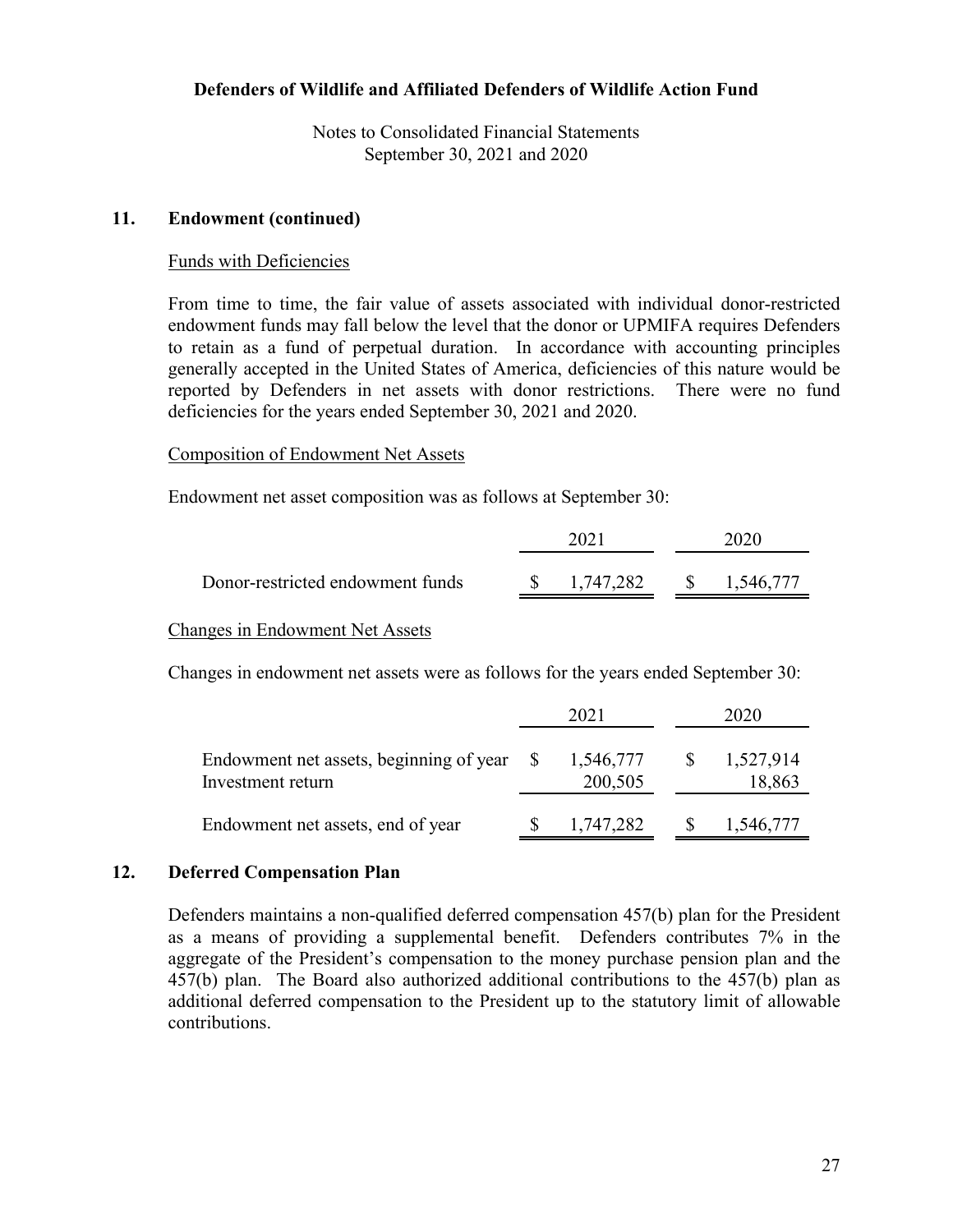Notes to Consolidated Financial Statements September 30, 2021 and 2020

## **11. Endowment (continued)**

### Funds with Deficiencies

From time to time, the fair value of assets associated with individual donor-restricted endowment funds may fall below the level that the donor or UPMIFA requires Defenders to retain as a fund of perpetual duration. In accordance with accounting principles generally accepted in the United States of America, deficiencies of this nature would be reported by Defenders in net assets with donor restrictions. There were no fund deficiencies for the years ended September 30, 2021 and 2020.

#### Composition of Endowment Net Assets

Endowment net asset composition was as follows at September 30:

|                                  | 2021      | 2020 |           |  |  |
|----------------------------------|-----------|------|-----------|--|--|
| Donor-restricted endowment funds | 1,747,282 | S.   | 1,546,777 |  |  |

## Changes in Endowment Net Assets

Changes in endowment net assets were as follows for the years ended September 30:

|                                                              | 2021 |                      |  | 2020                |
|--------------------------------------------------------------|------|----------------------|--|---------------------|
| Endowment net assets, beginning of year<br>Investment return |      | 1,546,777<br>200,505 |  | 1,527,914<br>18,863 |
| Endowment net assets, end of year                            |      | 1,747,282            |  | 1,546,777           |

## **12. Deferred Compensation Plan**

Defenders maintains a non-qualified deferred compensation 457(b) plan for the President as a means of providing a supplemental benefit. Defenders contributes 7% in the aggregate of the President's compensation to the money purchase pension plan and the 457(b) plan. The Board also authorized additional contributions to the 457(b) plan as additional deferred compensation to the President up to the statutory limit of allowable contributions.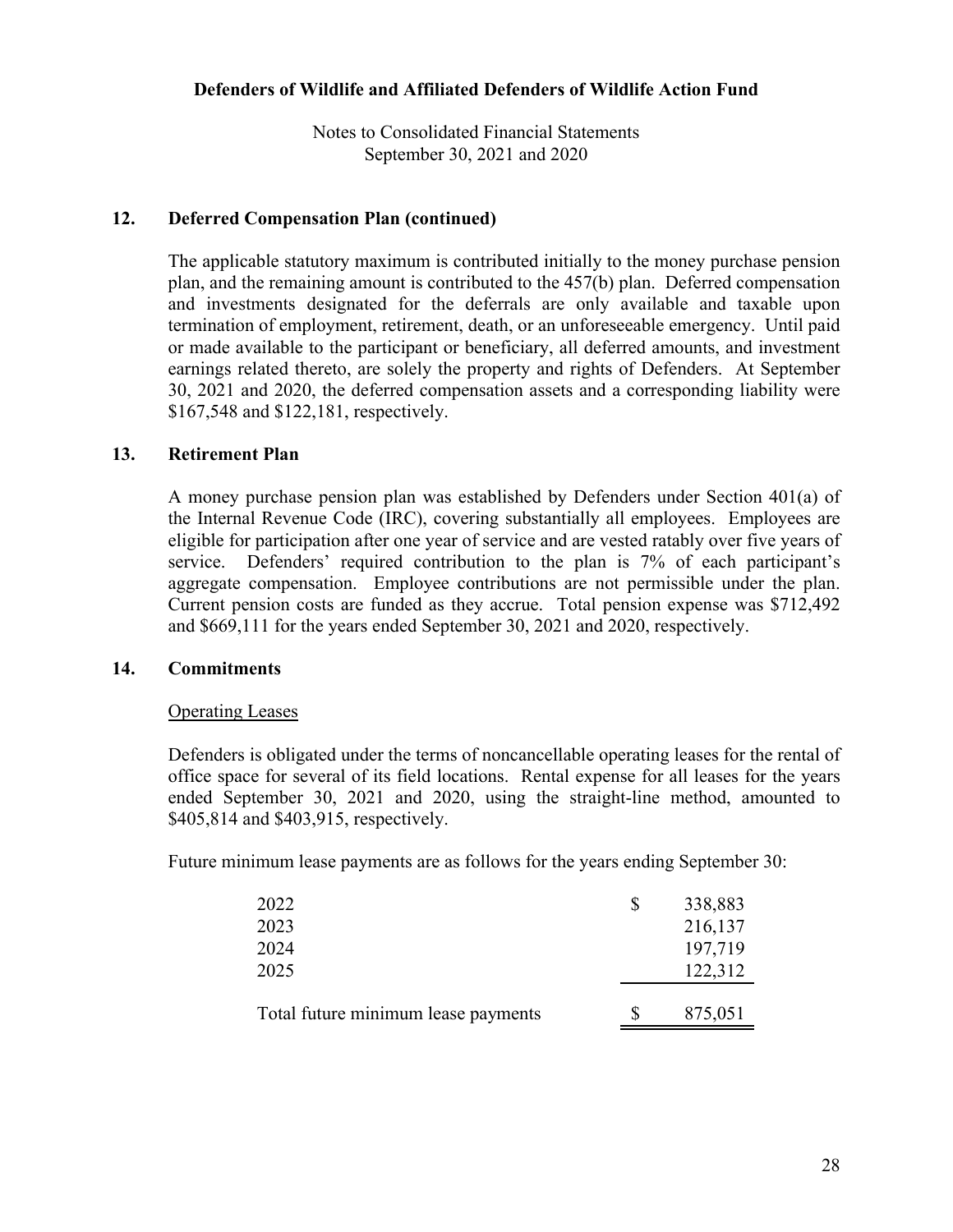Notes to Consolidated Financial Statements September 30, 2021 and 2020

## **12. Deferred Compensation Plan (continued)**

The applicable statutory maximum is contributed initially to the money purchase pension plan, and the remaining amount is contributed to the 457(b) plan. Deferred compensation and investments designated for the deferrals are only available and taxable upon termination of employment, retirement, death, or an unforeseeable emergency. Until paid or made available to the participant or beneficiary, all deferred amounts, and investment earnings related thereto, are solely the property and rights of Defenders. At September 30, 2021 and 2020, the deferred compensation assets and a corresponding liability were \$167,548 and \$122,181, respectively.

## **13. Retirement Plan**

A money purchase pension plan was established by Defenders under Section 401(a) of the Internal Revenue Code (IRC), covering substantially all employees. Employees are eligible for participation after one year of service and are vested ratably over five years of service. Defenders' required contribution to the plan is 7% of each participant's aggregate compensation. Employee contributions are not permissible under the plan. Current pension costs are funded as they accrue. Total pension expense was \$712,492 and \$669,111 for the years ended September 30, 2021 and 2020, respectively.

## **14. Commitments**

## Operating Leases

Defenders is obligated under the terms of noncancellable operating leases for the rental of office space for several of its field locations. Rental expense for all leases for the years ended September 30, 2021 and 2020, using the straight-line method, amounted to \$405,814 and \$403,915, respectively.

Future minimum lease payments are as follows for the years ending September 30:

| 2022                                | 338,883 |
|-------------------------------------|---------|
| 2023                                | 216,137 |
| 2024                                | 197,719 |
| 2025                                | 122,312 |
|                                     |         |
| Total future minimum lease payments | 875,051 |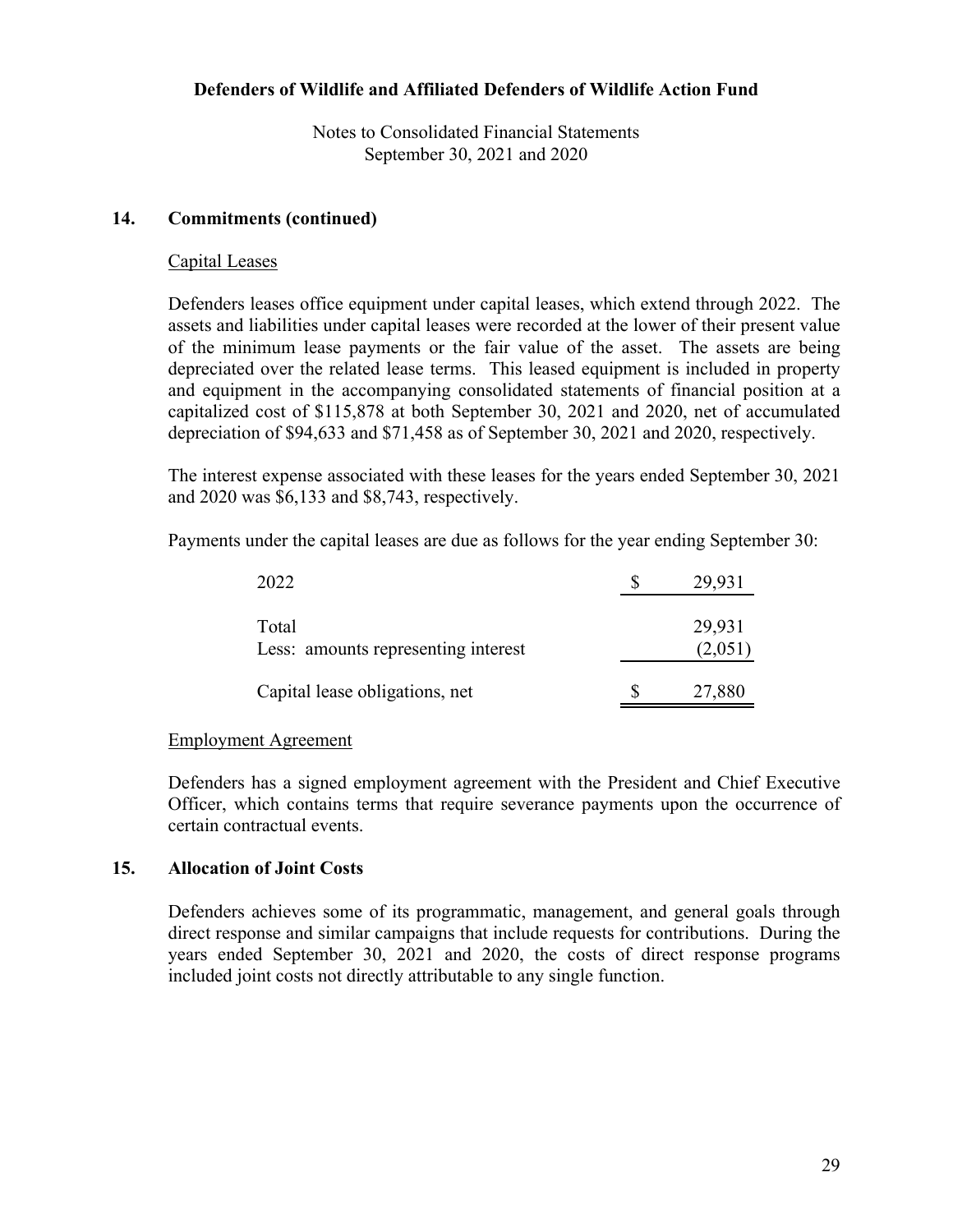Notes to Consolidated Financial Statements September 30, 2021 and 2020

## **14. Commitments (continued)**

## Capital Leases

Defenders leases office equipment under capital leases, which extend through 2022. The assets and liabilities under capital leases were recorded at the lower of their present value of the minimum lease payments or the fair value of the asset. The assets are being depreciated over the related lease terms. This leased equipment is included in property and equipment in the accompanying consolidated statements of financial position at a capitalized cost of \$115,878 at both September 30, 2021 and 2020, net of accumulated depreciation of \$94,633 and \$71,458 as of September 30, 2021 and 2020, respectively.

The interest expense associated with these leases for the years ended September 30, 2021 and 2020 was \$6,133 and \$8,743, respectively.

Payments under the capital leases are due as follows for the year ending September 30:

| 2022                                         | 29,931            |
|----------------------------------------------|-------------------|
| Total<br>Less: amounts representing interest | 29,931<br>(2,051) |
| Capital lease obligations, net               | 27,880            |

#### Employment Agreement

Defenders has a signed employment agreement with the President and Chief Executive Officer, which contains terms that require severance payments upon the occurrence of certain contractual events.

## **15. Allocation of Joint Costs**

Defenders achieves some of its programmatic, management, and general goals through direct response and similar campaigns that include requests for contributions. During the years ended September 30, 2021 and 2020, the costs of direct response programs included joint costs not directly attributable to any single function.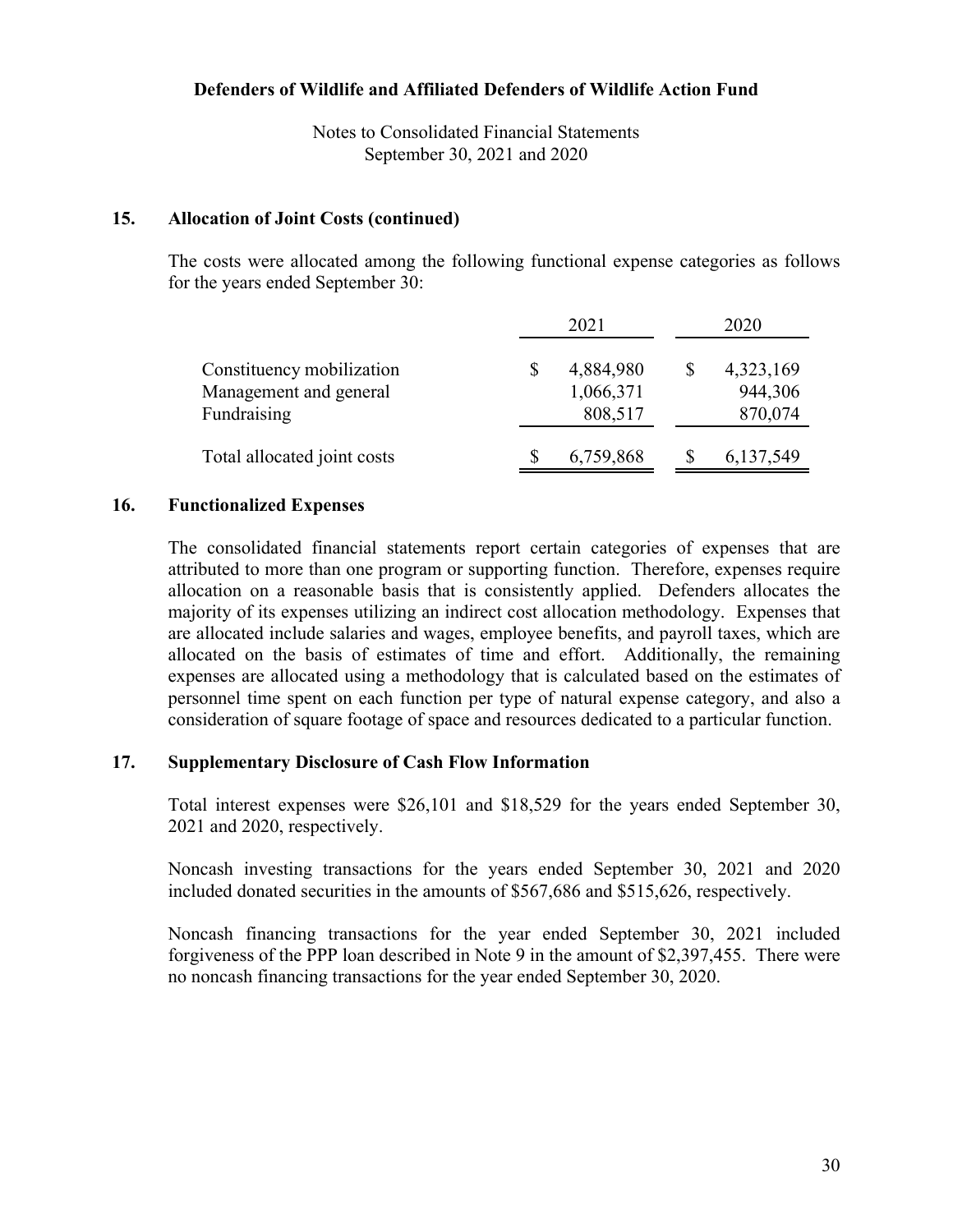Notes to Consolidated Financial Statements September 30, 2021 and 2020

## **15. Allocation of Joint Costs (continued)**

The costs were allocated among the following functional expense categories as follows for the years ended September 30:

|                                                                    | 2021 |                                   | 2020 |                                 |  |
|--------------------------------------------------------------------|------|-----------------------------------|------|---------------------------------|--|
| Constituency mobilization<br>Management and general<br>Fundraising |      | 4,884,980<br>1,066,371<br>808,517 | S    | 4,323,169<br>944,306<br>870,074 |  |
| Total allocated joint costs                                        |      | 6,759,868                         |      | 6,137,549                       |  |

## **16. Functionalized Expenses**

The consolidated financial statements report certain categories of expenses that are attributed to more than one program or supporting function. Therefore, expenses require allocation on a reasonable basis that is consistently applied. Defenders allocates the majority of its expenses utilizing an indirect cost allocation methodology. Expenses that are allocated include salaries and wages, employee benefits, and payroll taxes, which are allocated on the basis of estimates of time and effort. Additionally, the remaining expenses are allocated using a methodology that is calculated based on the estimates of personnel time spent on each function per type of natural expense category, and also a consideration of square footage of space and resources dedicated to a particular function.

## **17. Supplementary Disclosure of Cash Flow Information**

Total interest expenses were \$26,101 and \$18,529 for the years ended September 30, 2021 and 2020, respectively.

Noncash investing transactions for the years ended September 30, 2021 and 2020 included donated securities in the amounts of \$567,686 and \$515,626, respectively.

Noncash financing transactions for the year ended September 30, 2021 included forgiveness of the PPP loan described in Note 9 in the amount of \$2,397,455. There were no noncash financing transactions for the year ended September 30, 2020.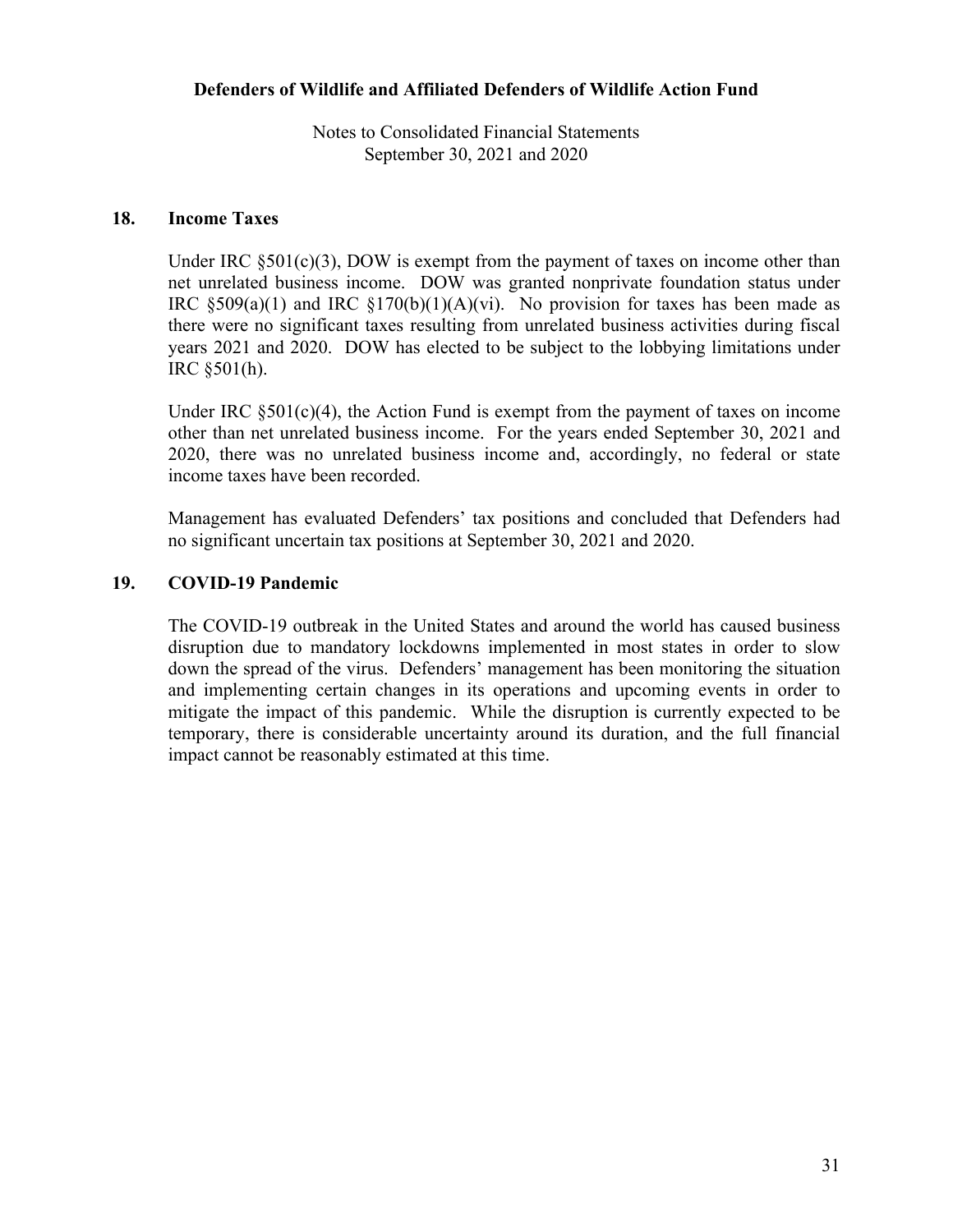Notes to Consolidated Financial Statements September 30, 2021 and 2020

## **18. Income Taxes**

Under IRC  $\S501(c)(3)$ , DOW is exempt from the payment of taxes on income other than net unrelated business income. DOW was granted nonprivate foundation status under IRC  $\S 509(a)(1)$  and IRC  $\S 170(b)(1)(A)(vi)$ . No provision for taxes has been made as there were no significant taxes resulting from unrelated business activities during fiscal years 2021 and 2020. DOW has elected to be subject to the lobbying limitations under IRC §501(h).

Under IRC  $\S501(c)(4)$ , the Action Fund is exempt from the payment of taxes on income other than net unrelated business income. For the years ended September 30, 2021 and 2020, there was no unrelated business income and, accordingly, no federal or state income taxes have been recorded.

Management has evaluated Defenders' tax positions and concluded that Defenders had no significant uncertain tax positions at September 30, 2021 and 2020.

## **19. COVID-19 Pandemic**

The COVID-19 outbreak in the United States and around the world has caused business disruption due to mandatory lockdowns implemented in most states in order to slow down the spread of the virus. Defenders' management has been monitoring the situation and implementing certain changes in its operations and upcoming events in order to mitigate the impact of this pandemic. While the disruption is currently expected to be temporary, there is considerable uncertainty around its duration, and the full financial impact cannot be reasonably estimated at this time.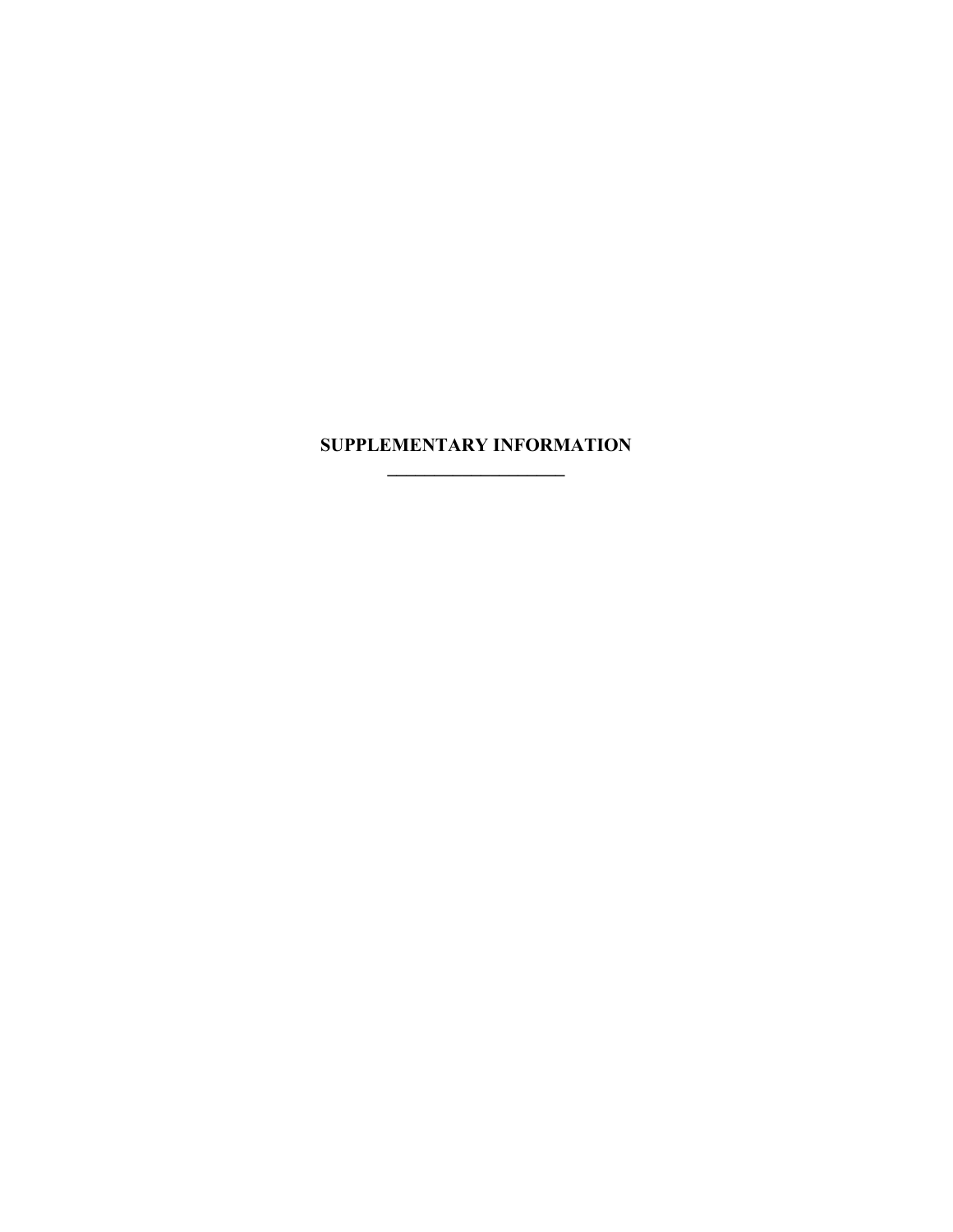## **SUPPLEMENTARY INFORMATION \_\_\_\_\_\_\_\_\_\_\_\_\_\_\_\_\_\_\_**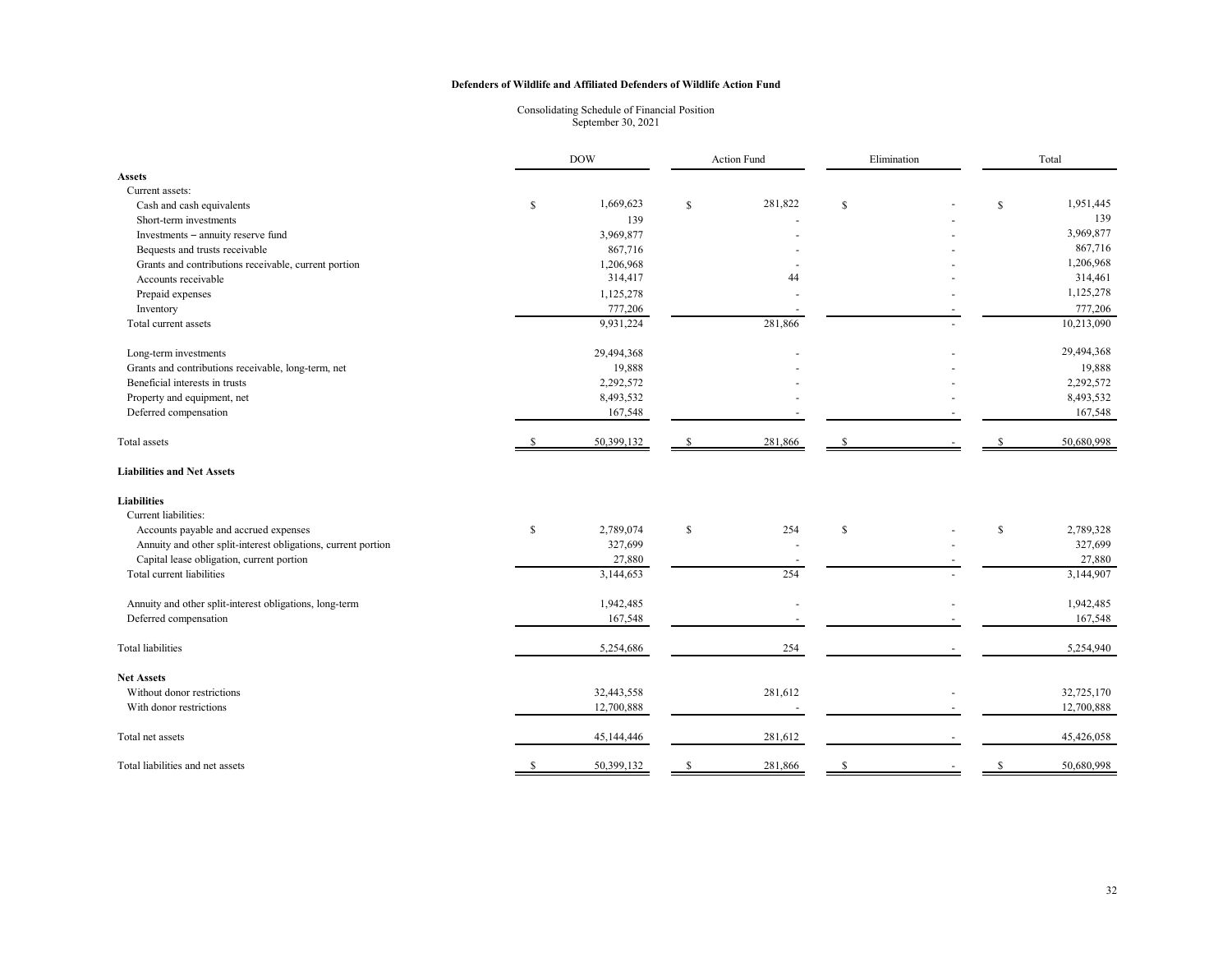#### Consolidating Schedule of Financial Position September 30, 2021

|                                                               |               | <b>DOW</b> |             | Action Fund | Elimination |              | Total      |
|---------------------------------------------------------------|---------------|------------|-------------|-------------|-------------|--------------|------------|
| <b>Assets</b>                                                 |               |            |             |             |             |              |            |
| Current assets:                                               |               |            |             |             |             |              |            |
| Cash and cash equivalents                                     | $\mathbb{S}$  | 1,669,623  | $\mathbf S$ | 281,822     | \$          | $\mathbb{S}$ | 1,951,445  |
| Short-term investments                                        |               | 139        |             |             |             |              | 139        |
| Investments - annuity reserve fund                            |               | 3,969,877  |             |             |             |              | 3,969,877  |
| Bequests and trusts receivable                                |               | 867,716    |             |             |             |              | 867,716    |
| Grants and contributions receivable, current portion          |               | 1,206,968  |             |             |             |              | 1,206,968  |
| Accounts receivable                                           |               | 314,417    |             | 44          |             |              | 314,461    |
| Prepaid expenses                                              |               | 1,125,278  |             |             |             |              | 1,125,278  |
| Inventory                                                     |               | 777,206    |             |             |             |              | 777,206    |
| Total current assets                                          |               | 9,931,224  |             | 281,866     |             |              | 10,213,090 |
| Long-term investments                                         |               | 29,494,368 |             |             |             |              | 29,494,368 |
| Grants and contributions receivable, long-term, net           |               | 19,888     |             |             |             |              | 19,888     |
| Beneficial interests in trusts                                |               | 2,292,572  |             |             |             |              | 2,292,572  |
| Property and equipment, net                                   |               | 8,493,532  |             |             |             |              | 8,493,532  |
| Deferred compensation                                         |               | 167,548    |             |             |             |              | 167,548    |
| Total assets                                                  |               | 50,399,132 |             | 281,866     | S           |              | 50,680,998 |
| <b>Liabilities and Net Assets</b>                             |               |            |             |             |             |              |            |
| <b>Liabilities</b>                                            |               |            |             |             |             |              |            |
| Current liabilities:                                          |               |            |             |             |             |              |            |
| Accounts payable and accrued expenses                         | $\mathsf{\$}$ | 2,789,074  | \$          | 254         | \$          | $\mathbb{S}$ | 2,789,328  |
| Annuity and other split-interest obligations, current portion |               | 327,699    |             |             |             |              | 327,699    |
| Capital lease obligation, current portion                     |               | 27,880     |             |             |             |              | 27,880     |
| Total current liabilities                                     |               | 3,144,653  |             | 254         |             |              | 3,144,907  |
| Annuity and other split-interest obligations, long-term       |               | 1,942,485  |             |             |             |              | 1,942,485  |
| Deferred compensation                                         |               | 167,548    |             |             |             |              | 167,548    |
| <b>Total liabilities</b>                                      |               | 5,254,686  |             | 254         |             |              | 5,254,940  |
| <b>Net Assets</b>                                             |               |            |             |             |             |              |            |
| Without donor restrictions                                    |               | 32,443,558 |             | 281,612     |             |              | 32,725,170 |
| With donor restrictions                                       |               | 12,700,888 |             |             |             |              | 12,700,888 |
| Total net assets                                              |               | 45,144,446 |             | 281,612     |             |              | 45,426,058 |
| Total liabilities and net assets                              | <sup>\$</sup> | 50,399,132 | -S          | 281,866     | S           |              | 50,680,998 |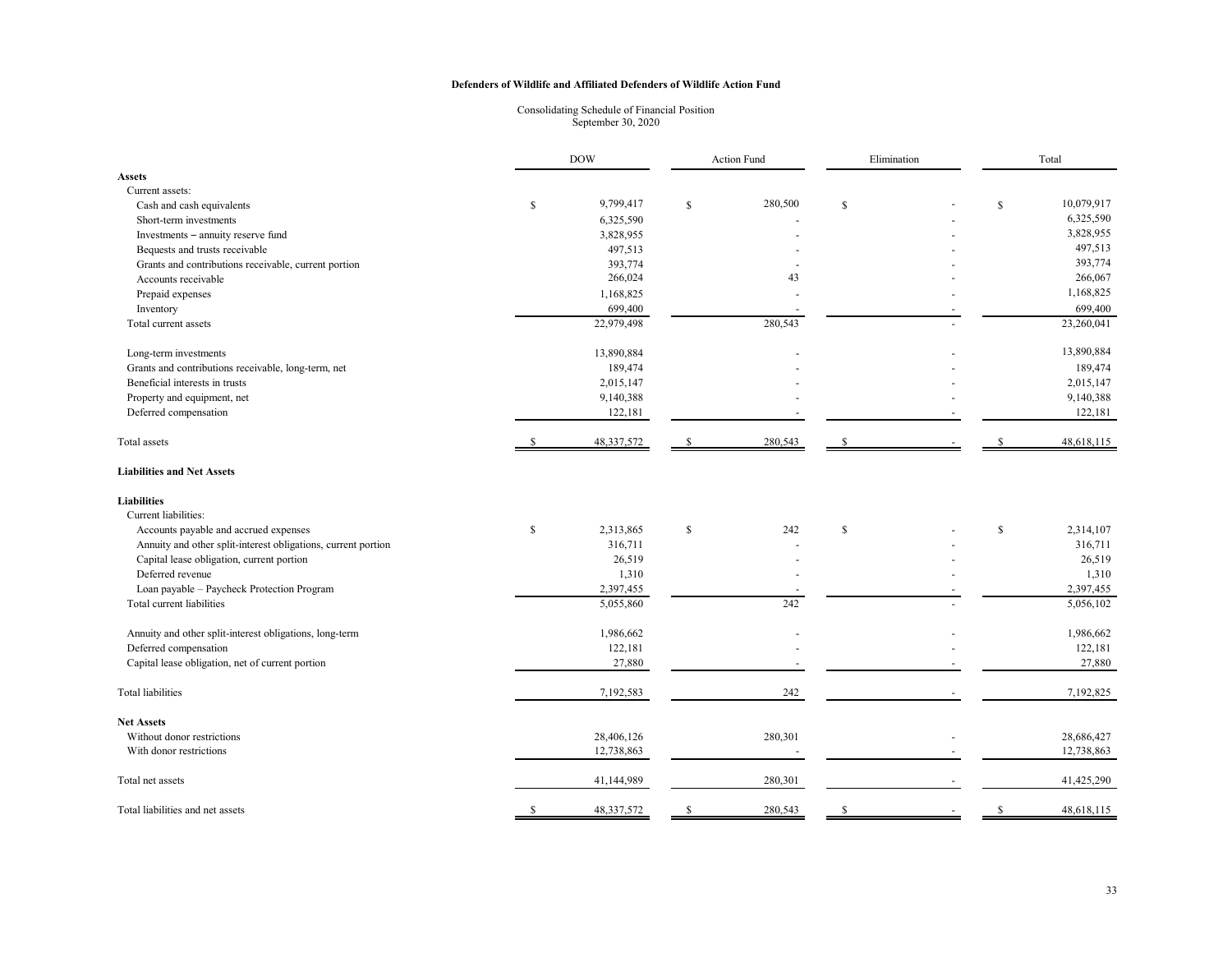#### Consolidating Schedule of Financial Position September 30, 2020

|                                                               |               | <b>DOW</b>   |              | <b>Action Fund</b> | Elimination  |              | Total      |
|---------------------------------------------------------------|---------------|--------------|--------------|--------------------|--------------|--------------|------------|
| <b>Assets</b>                                                 |               |              |              |                    |              |              |            |
| Current assets:                                               |               |              |              |                    |              |              |            |
| Cash and cash equivalents                                     | $\mathcal{S}$ | 9,799,417    | $\mathbf S$  | 280,500            | $\mathbb S$  | $\mathbb S$  | 10,079,917 |
| Short-term investments                                        |               | 6,325,590    |              |                    |              |              | 6,325,590  |
| Investments - annuity reserve fund                            |               | 3,828,955    |              |                    |              |              | 3,828,955  |
| Bequests and trusts receivable                                |               | 497,513      |              |                    |              |              | 497,513    |
| Grants and contributions receivable, current portion          |               | 393,774      |              |                    |              |              | 393,774    |
| Accounts receivable                                           |               | 266,024      |              | 43                 |              |              | 266,067    |
| Prepaid expenses                                              |               | 1,168,825    |              |                    |              |              | 1,168,825  |
| Inventory                                                     |               | 699,400      |              |                    |              |              | 699,400    |
| Total current assets                                          |               | 22,979,498   |              | 280,543            |              |              | 23,260,041 |
| Long-term investments                                         |               | 13,890,884   |              |                    |              |              | 13,890,884 |
| Grants and contributions receivable, long-term, net           |               | 189,474      |              |                    |              |              | 189,474    |
| Beneficial interests in trusts                                |               | 2,015,147    |              |                    |              |              | 2,015,147  |
| Property and equipment, net                                   |               | 9,140,388    |              |                    |              |              | 9,140,388  |
| Deferred compensation                                         |               | 122,181      |              |                    |              |              | 122,181    |
| Total assets                                                  |               | 48,337,572   |              | 280,543            |              |              | 48,618,115 |
| <b>Liabilities and Net Assets</b>                             |               |              |              |                    |              |              |            |
| <b>Liabilities</b>                                            |               |              |              |                    |              |              |            |
| Current liabilities:                                          |               |              |              |                    |              |              |            |
| Accounts payable and accrued expenses                         | $\mathbb{S}$  | 2,313,865    | $\mathbb{S}$ | 242                | $\mathbb{S}$ | $\mathbb{S}$ | 2,314,107  |
| Annuity and other split-interest obligations, current portion |               | 316,711      |              |                    |              |              | 316,711    |
| Capital lease obligation, current portion                     |               | 26,519       |              |                    |              |              | 26,519     |
| Deferred revenue                                              |               | 1,310        |              |                    |              |              | 1,310      |
| Loan payable - Paycheck Protection Program                    |               | 2,397,455    |              |                    |              |              | 2,397,455  |
| Total current liabilities                                     |               | 5,055,860    |              | 242                |              |              | 5,056,102  |
| Annuity and other split-interest obligations, long-term       |               | 1,986,662    |              |                    |              |              | 1,986,662  |
| Deferred compensation                                         |               | 122,181      |              |                    |              |              | 122,181    |
| Capital lease obligation, net of current portion              |               | 27,880       |              |                    |              |              | 27,880     |
| <b>Total liabilities</b>                                      |               | 7,192,583    |              | 242                |              |              | 7,192,825  |
| <b>Net Assets</b>                                             |               |              |              |                    |              |              |            |
| Without donor restrictions                                    |               | 28,406,126   |              | 280,301            |              |              | 28,686,427 |
| With donor restrictions                                       |               | 12,738,863   |              |                    |              |              | 12,738,863 |
| Total net assets                                              |               | 41,144,989   |              | 280,301            |              |              | 41,425,290 |
| Total liabilities and net assets                              | <sup>\$</sup> | 48, 337, 572 | S            | 280,543            | S            | <b>S</b>     | 48,618,115 |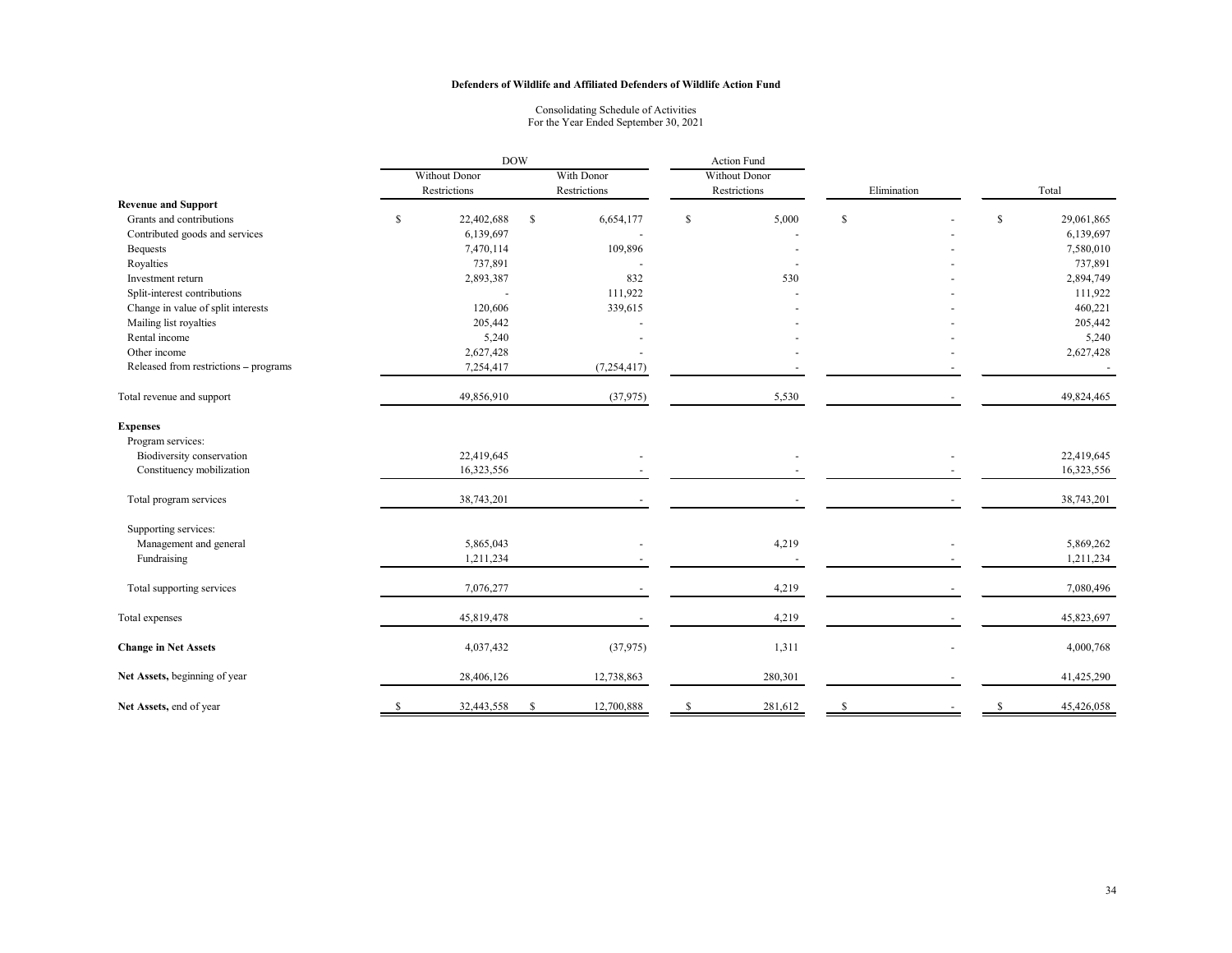#### Consolidating Schedule of Activities For the Year Ended September 30, 2021

|                                       |               | <b>DOW</b>           |    |               |    | Action Fund   |               |  |              |            |
|---------------------------------------|---------------|----------------------|----|---------------|----|---------------|---------------|--|--------------|------------|
|                                       |               | <b>Without Donor</b> |    | With Donor    |    | Without Donor |               |  |              |            |
|                                       |               | Restrictions         |    | Restrictions  |    | Restrictions  | Elimination   |  |              | Total      |
| <b>Revenue and Support</b>            |               |                      |    |               |    |               |               |  |              |            |
| Grants and contributions              | <sup>\$</sup> | 22,402,688           | \$ | 6,654,177     | \$ | 5,000         | <sup>\$</sup> |  | $\mathbb{S}$ | 29,061,865 |
| Contributed goods and services        |               | 6,139,697            |    |               |    |               |               |  |              | 6,139,697  |
| <b>Bequests</b>                       |               | 7,470,114            |    | 109,896       |    |               |               |  |              | 7,580,010  |
| Royalties                             |               | 737,891              |    |               |    |               |               |  |              | 737,891    |
| Investment return                     |               | 2,893,387            |    | 832           |    | 530           |               |  |              | 2,894,749  |
| Split-interest contributions          |               |                      |    | 111,922       |    |               |               |  |              | 111,922    |
| Change in value of split interests    |               | 120,606              |    | 339,615       |    |               |               |  |              | 460,221    |
| Mailing list royalties                |               | 205,442              |    |               |    |               |               |  |              | 205,442    |
| Rental income                         |               | 5,240                |    |               |    |               |               |  |              | 5,240      |
| Other income                          |               | 2,627,428            |    |               |    |               |               |  |              | 2,627,428  |
| Released from restrictions - programs |               | 7,254,417            |    | (7, 254, 417) |    |               |               |  |              | $\sim$     |
| Total revenue and support             |               | 49,856,910           |    | (37, 975)     |    | 5,530         |               |  |              | 49,824,465 |
| <b>Expenses</b>                       |               |                      |    |               |    |               |               |  |              |            |
| Program services:                     |               |                      |    |               |    |               |               |  |              |            |
| Biodiversity conservation             |               | 22,419,645           |    |               |    |               |               |  |              | 22,419,645 |
| Constituency mobilization             |               | 16,323,556           |    |               |    |               |               |  |              | 16,323,556 |
| Total program services                |               | 38,743,201           |    |               |    |               |               |  |              | 38,743,201 |
| Supporting services:                  |               |                      |    |               |    |               |               |  |              |            |
| Management and general                |               | 5,865,043            |    |               |    | 4,219         |               |  |              | 5,869,262  |
| Fundraising                           |               | 1,211,234            |    |               |    |               |               |  |              | 1,211,234  |
| Total supporting services             |               | 7,076,277            |    |               |    | 4,219         |               |  |              | 7,080,496  |
| Total expenses                        |               | 45,819,478           |    |               |    | 4,219         |               |  |              | 45,823,697 |
| <b>Change in Net Assets</b>           |               | 4,037,432            |    | (37, 975)     |    | 1,311         |               |  |              | 4,000,768  |
| Net Assets, beginning of year         |               | 28,406,126           |    | 12,738,863    |    | 280,301       |               |  |              | 41,425,290 |
| Net Assets, end of year               |               | 32,443,558           | -8 | 12,700,888    | -S | 281,612       | <b>S</b>      |  | S            | 45,426,058 |